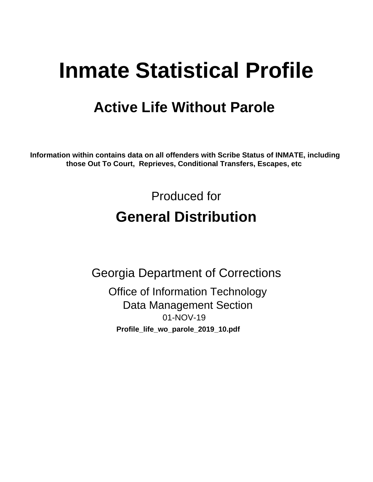# **Inmate Statistical Profile**

## **Active Life Without Parole**

Information within contains data on all offenders with Scribe Status of INMATE, including those Out To Court, Reprieves, Conditional Transfers, Escapes, etc

> Produced for **General Distribution**

**Georgia Department of Corrections Office of Information Technology Data Management Section** 01-NOV-19 Profile\_life\_wo\_parole\_2019\_10.pdf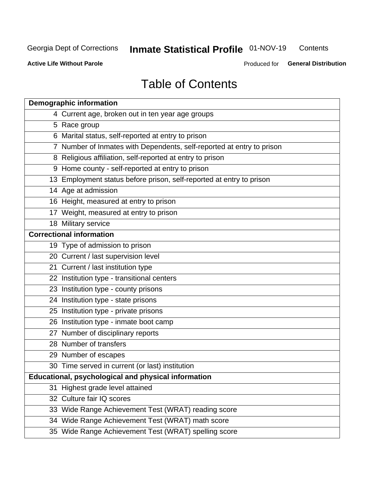#### **Inmate Statistical Profile 01-NOV-19** Contents

**Active Life Without Parole** 

Produced for General Distribution

## **Table of Contents**

|    | <b>Demographic information</b>                                        |
|----|-----------------------------------------------------------------------|
|    | 4 Current age, broken out in ten year age groups                      |
|    | 5 Race group                                                          |
|    | 6 Marital status, self-reported at entry to prison                    |
|    | 7 Number of Inmates with Dependents, self-reported at entry to prison |
|    | 8 Religious affiliation, self-reported at entry to prison             |
|    | 9 Home county - self-reported at entry to prison                      |
|    | 13 Employment status before prison, self-reported at entry to prison  |
|    | 14 Age at admission                                                   |
|    | 16 Height, measured at entry to prison                                |
|    | 17 Weight, measured at entry to prison                                |
|    | 18 Military service                                                   |
|    | <b>Correctional information</b>                                       |
|    | 19 Type of admission to prison                                        |
|    | 20 Current / last supervision level                                   |
|    | 21 Current / last institution type                                    |
|    | 22 Institution type - transitional centers                            |
|    | 23 Institution type - county prisons                                  |
|    | 24 Institution type - state prisons                                   |
|    | 25 Institution type - private prisons                                 |
|    | 26 Institution type - inmate boot camp                                |
|    | 27 Number of disciplinary reports                                     |
|    | 28 Number of transfers                                                |
|    | 29 Number of escapes                                                  |
|    | 30 Time served in current (or last) institution                       |
|    | Educational, psychological and physical information                   |
| 31 | Highest grade level attained                                          |
|    | 32 Culture fair IQ scores                                             |
|    | 33 Wide Range Achievement Test (WRAT) reading score                   |
|    | 34 Wide Range Achievement Test (WRAT) math score                      |
|    | 35 Wide Range Achievement Test (WRAT) spelling score                  |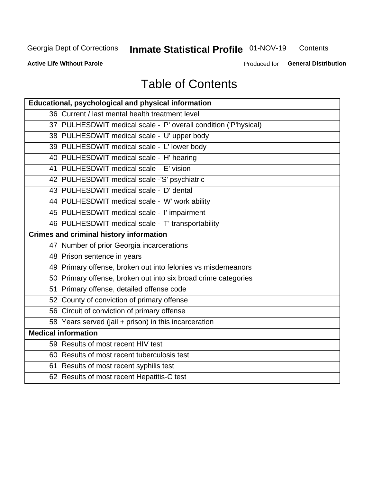## **Inmate Statistical Profile 01-NOV-19**

Contents

**Active Life Without Parole** 

Produced for General Distribution

## **Table of Contents**

| Educational, psychological and physical information              |
|------------------------------------------------------------------|
| 36 Current / last mental health treatment level                  |
| 37 PULHESDWIT medical scale - 'P' overall condition ('P'hysical) |
| 38 PULHESDWIT medical scale - 'U' upper body                     |
| 39 PULHESDWIT medical scale - 'L' lower body                     |
| 40 PULHESDWIT medical scale - 'H' hearing                        |
| 41 PULHESDWIT medical scale - 'E' vision                         |
| 42 PULHESDWIT medical scale -'S' psychiatric                     |
| 43 PULHESDWIT medical scale - 'D' dental                         |
| 44 PULHESDWIT medical scale - 'W' work ability                   |
| 45 PULHESDWIT medical scale - 'I' impairment                     |
| 46 PULHESDWIT medical scale - 'T' transportability               |
| <b>Crimes and criminal history information</b>                   |
| 47 Number of prior Georgia incarcerations                        |
| 48 Prison sentence in years                                      |
| 49 Primary offense, broken out into felonies vs misdemeanors     |
| 50 Primary offense, broken out into six broad crime categories   |
| 51 Primary offense, detailed offense code                        |
| 52 County of conviction of primary offense                       |
| 56 Circuit of conviction of primary offense                      |
| 58 Years served (jail + prison) in this incarceration            |
| <b>Medical information</b>                                       |
| 59 Results of most recent HIV test                               |
| 60 Results of most recent tuberculosis test                      |
| 61 Results of most recent syphilis test                          |
| 62 Results of most recent Hepatitis-C test                       |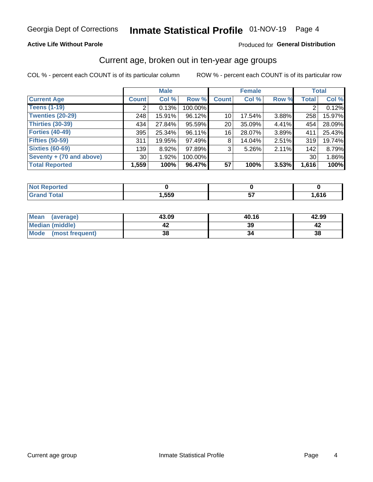#### **Active Life Without Parole**

#### Produced for General Distribution

### Current age, broken out in ten-year age groups

COL % - percent each COUNT is of its particular column

|                          |                 | <b>Male</b> |         | <b>Female</b>   |        |          | <b>Total</b>   |        |
|--------------------------|-----------------|-------------|---------|-----------------|--------|----------|----------------|--------|
| <b>Current Age</b>       | <b>Count</b>    | Col %       | Row %   | <b>Count</b>    | Col %  | Row %    | <b>Total</b>   | Col %  |
| <b>Teens (1-19)</b>      | ົ               | 0.13%       | 100.00% |                 |        |          | $\overline{2}$ | 0.12%  |
| <b>Twenties (20-29)</b>  | 248             | 15.91%      | 96.12%  | 10 <sup>1</sup> | 17.54% | $3.88\%$ | 258            | 15.97% |
| Thirties (30-39)         | 434             | 27.84%      | 95.59%  | 20 <sub>1</sub> | 35.09% | 4.41%    | 454            | 28.09% |
| <b>Forties (40-49)</b>   | 395             | 25.34%      | 96.11%  | 16              | 28.07% | $3.89\%$ | 411            | 25.43% |
| <b>Fifties (50-59)</b>   | 311             | 19.95%      | 97.49%  | 8               | 14.04% | 2.51%    | 319            | 19.74% |
| <b>Sixties (60-69)</b>   | 139             | 8.92%       | 97.89%  | 3               | 5.26%  | 2.11%    | 142            | 8.79%  |
| Seventy + (70 and above) | 30 <sup>1</sup> | 1.92%       | 100.00% |                 |        |          | 30             | 1.86%  |
| <b>Total Reported</b>    | 1,559           | 100%        | 96.47%  | 57              | 100%   | 3.53%    | 1,616          | 100%   |

| <b>sted</b><br>m. |      |         |                |
|-------------------|------|---------|----------------|
| $C0+0$            | ,559 | --<br>ີ | CAC<br>, v ı u |

| <b>Mean</b><br>(average) | 43.09 | 40.16 | 42.99 |
|--------------------------|-------|-------|-------|
| Median (middle)          |       | 39    |       |
| Mode<br>(most frequent)  | 38    |       | 38    |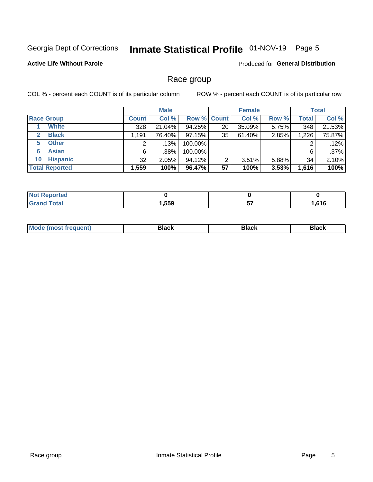## Inmate Statistical Profile 01-NOV-19 Page 5

#### **Active Life Without Parole**

Produced for General Distribution

### Race group

COL % - percent each COUNT is of its particular column

|                              |              | <b>Male</b> |                    |    | <b>Female</b> |          |              | <b>Total</b> |  |
|------------------------------|--------------|-------------|--------------------|----|---------------|----------|--------------|--------------|--|
| <b>Race Group</b>            | <b>Count</b> | Col %       | <b>Row % Count</b> |    | Col %         | Row %    | <b>Total</b> | Col %        |  |
| <b>White</b>                 | 328          | 21.04%      | 94.25%             | 20 | 35.09%        | 5.75%    | 348          | 21.53%       |  |
| <b>Black</b><br>$\mathbf{2}$ | 1,191        | 76.40%      | 97.15%             | 35 | 61.40%        | 2.85%    | 1,226        | 75.87%       |  |
| <b>Other</b><br>5.           |              | .13%        | 100.00%            |    |               |          | 2            | .12%         |  |
| <b>Asian</b><br>6            | 6            | .38%        | 100.00%            |    |               |          | 6            | .37%         |  |
| <b>Hispanic</b><br>10        | 32           | 2.05%       | 94.12%             | ົ  | 3.51%         | $5.88\%$ | 34           | 2.10%        |  |
| <b>Total Reported</b>        | 1,559        | 100%        | 96.47%             | 57 | 100%          | 3.53%    | 1,616        | 100%         |  |

| لمنتصر بالمستحدث<br>rreo<br>w. |      |          |      |
|--------------------------------|------|----------|------|
| $F \cap F \cap T$              | ,559 | --<br>J, | ,616 |

| –•••• |  | M |  |  |  |
|-------|--|---|--|--|--|
|-------|--|---|--|--|--|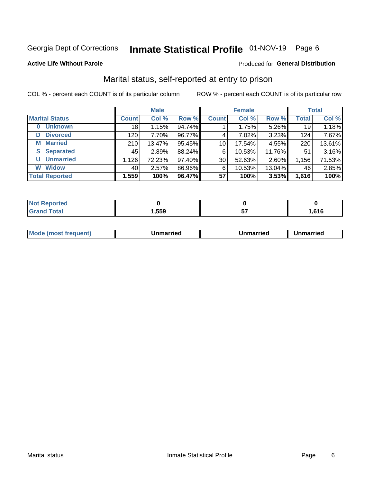## Inmate Statistical Profile 01-NOV-19 Page 6

#### **Active Life Without Parole**

#### Produced for General Distribution

### Marital status, self-reported at entry to prison

COL % - percent each COUNT is of its particular column

|                            | <b>Male</b>  |        |        |                 | <b>Female</b> | <b>Total</b> |              |        |
|----------------------------|--------------|--------|--------|-----------------|---------------|--------------|--------------|--------|
| <b>Marital Status</b>      | <b>Count</b> | Col %  | Row %  | <b>Count</b>    | Col %         | Row %        | <b>Total</b> | Col %  |
| <b>Unknown</b><br>$\bf{0}$ | 18           | 1.15%  | 94.74% |                 | 1.75%         | 5.26%        | 19           | 1.18%  |
| <b>Divorced</b><br>D       | 120          | 7.70%  | 96.77% | 4               | 7.02%         | 3.23%        | 124          | 7.67%  |
| <b>Married</b><br>М        | 210          | 13.47% | 95.45% | 10 <sup>1</sup> | 17.54%        | 4.55%        | 220          | 13.61% |
| <b>S</b> Separated         | 45'          | 2.89%  | 88.24% | 6               | 10.53%        | 11.76%       | 51           | 3.16%  |
| <b>Unmarried</b><br>U      | 1,126        | 72.23% | 97.40% | 30              | 52.63%        | 2.60%        | 1,156        | 71.53% |
| <b>Widow</b><br>W          | 40           | 2.57%  | 86.96% | 6               | 10.53%        | 13.04%       | 46           | 2.85%  |
| <b>Total Reported</b>      | 1,559        | 100%   | 96.47% | 57              | 100%          | 3.53%        | 1,616        | 100%   |

| <b>Not Reported</b><br><b>THUS STATE</b> |      |      |
|------------------------------------------|------|------|
| <b>Total</b>                             | ,559 | .616 |

|--|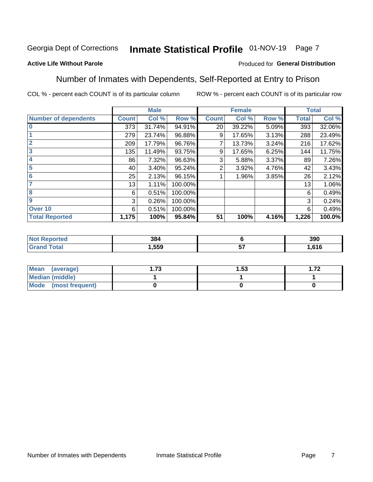#### Inmate Statistical Profile 01-NOV-19 Page 7

#### **Active Life Without Parole**

#### Produced for General Distribution

### Number of Inmates with Dependents, Self-Reported at Entry to Prison

COL % - percent each COUNT is of its particular column

|                             |              | <b>Male</b> |         |              | <b>Female</b> |       |              | <b>Total</b> |
|-----------------------------|--------------|-------------|---------|--------------|---------------|-------|--------------|--------------|
| <b>Number of dependents</b> | <b>Count</b> | Col %       | Row %   | <b>Count</b> | Col %         | Row % | <b>Total</b> | Col %        |
| $\bf{0}$                    | 373          | 31.74%      | 94.91%  | 20           | 39.22%        | 5.09% | 393          | 32.06%       |
|                             | 279          | 23.74%      | 96.88%  | 9            | 17.65%        | 3.13% | 288          | 23.49%       |
| $\overline{2}$              | 209          | 17.79%      | 96.76%  |              | 13.73%        | 3.24% | 216          | 17.62%       |
| $\overline{\mathbf{3}}$     | 135          | 11.49%      | 93.75%  | 9            | 17.65%        | 6.25% | 144          | 11.75%       |
| 4                           | 86           | 7.32%       | 96.63%  | 3            | 5.88%         | 3.37% | 89           | 7.26%        |
| $\overline{\mathbf{5}}$     | 40           | 3.40%       | 95.24%  | 2            | 3.92%         | 4.76% | 42           | 3.43%        |
| 6                           | 25           | 2.13%       | 96.15%  |              | 1.96%         | 3.85% | 26           | 2.12%        |
| 7                           | 13           | 1.11%       | 100.00% |              |               |       | 13           | 1.06%        |
| 8                           | 6            | 0.51%       | 100.00% |              |               |       | 6            | 0.49%        |
| $\boldsymbol{9}$            | 3            | 0.26%       | 100.00% |              |               |       | 3            | 0.24%        |
| Over 10                     | 6            | 0.51%       | 100.00% |              |               |       | 6            | 0.49%        |
| <b>Total Reported</b>       | 1,175        | 100%        | 95.84%  | 51           | 100%          | 4.16% | 1,226        | 100.0%       |

| 384  |          | 390              |
|------|----------|------------------|
| .559 | --<br>U. | <b>CAC</b><br>по |

| <b>Mean</b><br>(average) | -72<br>I. I J | 1.53 | ר ⊤<br>. . <i>.</i> 4 |
|--------------------------|---------------|------|-----------------------|
| Median (middle)          |               |      |                       |
| Mode<br>(most frequent)  |               |      |                       |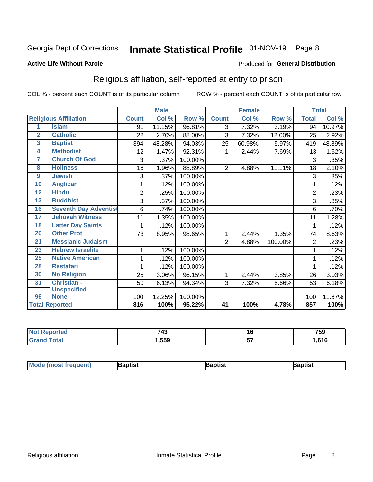## Inmate Statistical Profile 01-NOV-19 Page 8

#### **Active Life Without Parole**

#### Produced for General Distribution

### Religious affiliation, self-reported at entry to prison

COL % - percent each COUNT is of its particular column

|                  |                              | <b>Male</b>    |        |         | <b>Female</b>   |                            |         | <b>Total</b>   |        |
|------------------|------------------------------|----------------|--------|---------|-----------------|----------------------------|---------|----------------|--------|
|                  | <b>Religious Affiliation</b> | <b>Count</b>   | Col %  | Row %   | <b>Count</b>    | $\overline{\text{Col }\%}$ | Row %   | <b>Total</b>   | Col %  |
| 1                | <b>Islam</b>                 | 91             | 11.15% | 96.81%  | 3               | 7.32%                      | 3.19%   | 94             | 10.97% |
| $\overline{2}$   | <b>Catholic</b>              | 22             | 2.70%  | 88.00%  | 3               | 7.32%                      | 12.00%  | 25             | 2.92%  |
| 3                | <b>Baptist</b>               | 394            | 48.28% | 94.03%  | 25              | 60.98%                     | 5.97%   | 419            | 48.89% |
| 4                | <b>Methodist</b>             | 12             | 1.47%  | 92.31%  | 1               | 2.44%                      | 7.69%   | 13             | 1.52%  |
| 7                | <b>Church Of God</b>         | 3              | .37%   | 100.00% |                 |                            |         | 3              | .35%   |
| 8                | <b>Holiness</b>              | 16             | 1.96%  | 88.89%  | $\overline{2}$  | 4.88%                      | 11.11%  | 18             | 2.10%  |
| $\boldsymbol{9}$ | <b>Jewish</b>                | 3              | .37%   | 100.00% |                 |                            |         | 3              | .35%   |
| 10               | <b>Anglican</b>              | 1              | .12%   | 100.00% |                 |                            |         |                | .12%   |
| $\overline{12}$  | <b>Hindu</b>                 | $\overline{2}$ | .25%   | 100.00% |                 |                            |         | $\overline{2}$ | .23%   |
| 13               | <b>Buddhist</b>              | 3              | .37%   | 100.00% |                 |                            |         | 3              | .35%   |
| 16               | <b>Seventh Day Adventist</b> | 6              | .74%   | 100.00% |                 |                            |         | 6              | .70%   |
| 17               | <b>Jehovah Witness</b>       | 11             | 1.35%  | 100.00% |                 |                            |         | 11             | 1.28%  |
| 18               | <b>Latter Day Saints</b>     | 1              | .12%   | 100.00% |                 |                            |         |                | .12%   |
| $\overline{20}$  | <b>Other Prot</b>            | 73             | 8.95%  | 98.65%  | 1               | 2.44%                      | 1.35%   | 74             | 8.63%  |
| 21               | <b>Messianic Judaism</b>     |                |        |         | $\overline{2}$  | 4.88%                      | 100.00% | $\overline{2}$ | .23%   |
| 23               | <b>Hebrew Israelite</b>      | 1              | .12%   | 100.00% |                 |                            |         |                | .12%   |
| 25               | <b>Native American</b>       | 1              | .12%   | 100.00% |                 |                            |         |                | .12%   |
| 28               | <b>Rastafari</b>             |                | .12%   | 100.00% |                 |                            |         |                | .12%   |
| 30               | <b>No Religion</b>           | 25             | 3.06%  | 96.15%  | 1               | 2.44%                      | 3.85%   | 26             | 3.03%  |
| 31               | <b>Christian -</b>           | 50             | 6.13%  | 94.34%  | 3               | 7.32%                      | 5.66%   | 53             | 6.18%  |
|                  | <b>Unspecified</b>           |                |        |         |                 |                            |         |                |        |
| 96               | <b>None</b>                  | 100            | 12.25% | 100.00% |                 |                            |         | 100            | 11.67% |
|                  | <b>Total Reported</b>        | 816            | 100%   | 95.22%  | $\overline{41}$ | 100%                       | 4.78%   | 857            | 100%   |

| <b>Not Reported</b> | 743   | I t      | 759    |
|---------------------|-------|----------|--------|
| $\tau$ otal         | 1,559 | --<br>JI | 616، ا |

| <b>Mode (most frequent)</b><br>}aptist<br>Baptist<br>Baptist |
|--------------------------------------------------------------|
|--------------------------------------------------------------|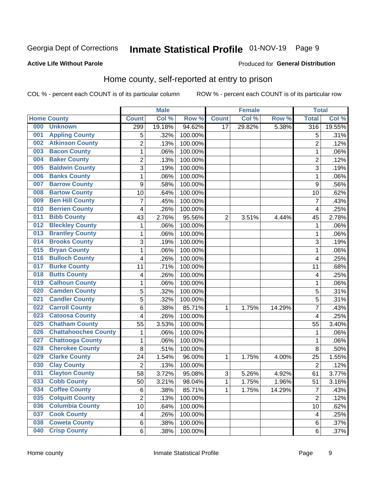## Inmate Statistical Profile 01-NOV-19 Page 9

#### **Active Life Without Parole**

#### Produced for General Distribution

### Home county, self-reported at entry to prison

COL % - percent each COUNT is of its particular column

|     |                             |                | <b>Male</b> |         |                | <b>Female</b> |        | <b>Total</b>            |        |
|-----|-----------------------------|----------------|-------------|---------|----------------|---------------|--------|-------------------------|--------|
|     | <b>Home County</b>          | <b>Count</b>   | Col %       | Row %   | <b>Count</b>   | Col %         | Row %  | <b>Total</b>            | Col %  |
| 000 | <b>Unknown</b>              | 299            | 19.18%      | 94.62%  | 17             | 29.82%        | 5.38%  | 316                     | 19.55% |
| 001 | <b>Appling County</b>       | 5              | .32%        | 100.00% |                |               |        | 5                       | .31%   |
| 002 | <b>Atkinson County</b>      | $\overline{2}$ | .13%        | 100.00% |                |               |        | $\overline{2}$          | .12%   |
| 003 | <b>Bacon County</b>         | $\mathbf 1$    | .06%        | 100.00% |                |               |        | 1                       | .06%   |
| 004 | <b>Baker County</b>         | $\overline{2}$ | .13%        | 100.00% |                |               |        | $\overline{2}$          | .12%   |
| 005 | <b>Baldwin County</b>       | 3              | .19%        | 100.00% |                |               |        | 3                       | .19%   |
| 006 | <b>Banks County</b>         | $\mathbf{1}$   | .06%        | 100.00% |                |               |        | 1                       | .06%   |
| 007 | <b>Barrow County</b>        | 9              | .58%        | 100.00% |                |               |        | 9                       | .56%   |
| 008 | <b>Bartow County</b>        | 10             | .64%        | 100.00% |                |               |        | 10                      | .62%   |
| 009 | <b>Ben Hill County</b>      | $\overline{7}$ | .45%        | 100.00% |                |               |        | 7                       | .43%   |
| 010 | <b>Berrien County</b>       | 4              | .26%        | 100.00% |                |               |        | $\overline{\mathbf{4}}$ | .25%   |
| 011 | <b>Bibb County</b>          | 43             | 2.76%       | 95.56%  | $\overline{2}$ | 3.51%         | 4.44%  | 45                      | 2.78%  |
| 012 | <b>Bleckley County</b>      | 1              | .06%        | 100.00% |                |               |        | 1                       | .06%   |
| 013 | <b>Brantley County</b>      | $\mathbf 1$    | .06%        | 100.00% |                |               |        | 1                       | .06%   |
| 014 | <b>Brooks County</b>        | 3              | .19%        | 100.00% |                |               |        | 3                       | .19%   |
| 015 | <b>Bryan County</b>         | $\mathbf 1$    | .06%        | 100.00% |                |               |        | 1                       | .06%   |
| 016 | <b>Bulloch County</b>       | 4              | .26%        | 100.00% |                |               |        | $\overline{4}$          | .25%   |
| 017 | <b>Burke County</b>         | 11             | .71%        | 100.00% |                |               |        | 11                      | .68%   |
| 018 | <b>Butts County</b>         | 4              | .26%        | 100.00% |                |               |        | 4                       | .25%   |
| 019 | <b>Calhoun County</b>       | $\mathbf 1$    | .06%        | 100.00% |                |               |        | 1                       | .06%   |
| 020 | <b>Camden County</b>        | 5              | .32%        | 100.00% |                |               |        | 5                       | .31%   |
| 021 | <b>Candler County</b>       | 5              | .32%        | 100.00% |                |               |        | 5                       | .31%   |
| 022 | <b>Carroll County</b>       | 6              | .38%        | 85.71%  | 1              | 1.75%         | 14.29% | 7                       | .43%   |
| 023 | <b>Catoosa County</b>       | 4              | .26%        | 100.00% |                |               |        | 4                       | .25%   |
| 025 | <b>Chatham County</b>       | 55             | 3.53%       | 100.00% |                |               |        | 55                      | 3.40%  |
| 026 | <b>Chattahoochee County</b> | 1              | .06%        | 100.00% |                |               |        | 1                       | .06%   |
| 027 | <b>Chattooga County</b>     | $\mathbf 1$    | .06%        | 100.00% |                |               |        | 1                       | .06%   |
| 028 | <b>Cherokee County</b>      | 8              | .51%        | 100.00% |                |               |        | 8                       | .50%   |
| 029 | <b>Clarke County</b>        | 24             | 1.54%       | 96.00%  | 1              | 1.75%         | 4.00%  | 25                      | 1.55%  |
| 030 | <b>Clay County</b>          | $\overline{2}$ | .13%        | 100.00% |                |               |        | $\overline{2}$          | .12%   |
| 031 | <b>Clayton County</b>       | 58             | 3.72%       | 95.08%  | $\mathsf 3$    | 5.26%         | 4.92%  | 61                      | 3.77%  |
| 033 | <b>Cobb County</b>          | 50             | 3.21%       | 98.04%  | 1              | 1.75%         | 1.96%  | 51                      | 3.16%  |
| 034 | <b>Coffee County</b>        | 6              | .38%        | 85.71%  | 1              | 1.75%         | 14.29% | 7                       | .43%   |
| 035 | <b>Colquitt County</b>      | $\overline{2}$ | .13%        | 100.00% |                |               |        | $\overline{2}$          | .12%   |
| 036 | <b>Columbia County</b>      | 10             | .64%        | 100.00% |                |               |        | 10                      | .62%   |
| 037 | <b>Cook County</b>          | 4              | .26%        | 100.00% |                |               |        | 4                       | .25%   |
| 038 | <b>Coweta County</b>        | 6              | .38%        | 100.00% |                |               |        | 6                       | .37%   |
| 040 | <b>Crisp County</b>         | 6              | .38%        | 100.00% |                |               |        | 6                       | .37%   |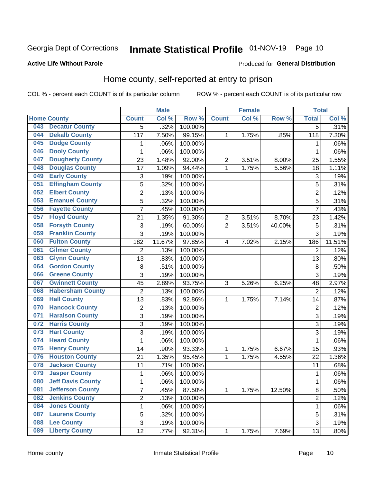## Inmate Statistical Profile 01-NOV-19 Page 10

#### **Active Life Without Parole**

#### Produced for General Distribution

### Home county, self-reported at entry to prison

COL % - percent each COUNT is of its particular column

|     |                          |                           | <b>Male</b> |                  |                | <b>Female</b> |        | <b>Total</b>   |        |
|-----|--------------------------|---------------------------|-------------|------------------|----------------|---------------|--------|----------------|--------|
|     | <b>Home County</b>       | <b>Count</b>              | Col %       | Row <sup>%</sup> | <b>Count</b>   | Col %         | Row %  | <b>Total</b>   | Col %  |
| 043 | <b>Decatur County</b>    | $\overline{5}$            | .32%        | 100.00%          |                |               |        | $\overline{5}$ | .31%   |
| 044 | <b>Dekalb County</b>     | 117                       | 7.50%       | 99.15%           | 1              | 1.75%         | .85%   | 118            | 7.30%  |
| 045 | <b>Dodge County</b>      | 1                         | .06%        | 100.00%          |                |               |        | 1              | .06%   |
| 046 | <b>Dooly County</b>      | 1                         | .06%        | 100.00%          |                |               |        | 1              | .06%   |
| 047 | <b>Dougherty County</b>  | 23                        | 1.48%       | 92.00%           | $\overline{2}$ | 3.51%         | 8.00%  | 25             | 1.55%  |
| 048 | <b>Douglas County</b>    | 17                        | 1.09%       | 94.44%           | 1              | 1.75%         | 5.56%  | 18             | 1.11%  |
| 049 | <b>Early County</b>      | $\ensuremath{\mathsf{3}}$ | .19%        | 100.00%          |                |               |        | 3              | .19%   |
| 051 | <b>Effingham County</b>  | 5                         | .32%        | 100.00%          |                |               |        | 5              | .31%   |
| 052 | <b>Elbert County</b>     | $\overline{2}$            | .13%        | 100.00%          |                |               |        | $\overline{2}$ | .12%   |
| 053 | <b>Emanuel County</b>    | 5                         | .32%        | 100.00%          |                |               |        | 5              | .31%   |
| 056 | <b>Fayette County</b>    | $\overline{7}$            | .45%        | 100.00%          |                |               |        | $\overline{7}$ | .43%   |
| 057 | <b>Floyd County</b>      | 21                        | 1.35%       | 91.30%           | $\overline{2}$ | 3.51%         | 8.70%  | 23             | 1.42%  |
| 058 | <b>Forsyth County</b>    | 3                         | .19%        | 60.00%           | $\overline{2}$ | 3.51%         | 40.00% | 5              | .31%   |
| 059 | <b>Franklin County</b>   | 3                         | .19%        | 100.00%          |                |               |        | 3              | .19%   |
| 060 | <b>Fulton County</b>     | 182                       | 11.67%      | 97.85%           | 4              | 7.02%         | 2.15%  | 186            | 11.51% |
| 061 | <b>Gilmer County</b>     | $\overline{2}$            | .13%        | 100.00%          |                |               |        | $\overline{2}$ | .12%   |
| 063 | <b>Glynn County</b>      | 13                        | .83%        | 100.00%          |                |               |        | 13             | .80%   |
| 064 | <b>Gordon County</b>     | 8                         | .51%        | 100.00%          |                |               |        | 8              | .50%   |
| 066 | <b>Greene County</b>     | 3                         | .19%        | 100.00%          |                |               |        | 3              | .19%   |
| 067 | <b>Gwinnett County</b>   | 45                        | 2.89%       | 93.75%           | 3              | 5.26%         | 6.25%  | 48             | 2.97%  |
| 068 | <b>Habersham County</b>  | $\overline{2}$            | .13%        | 100.00%          |                |               |        | $\overline{2}$ | .12%   |
| 069 | <b>Hall County</b>       | 13                        | .83%        | 92.86%           | 1              | 1.75%         | 7.14%  | 14             | .87%   |
| 070 | <b>Hancock County</b>    | $\overline{2}$            | .13%        | 100.00%          |                |               |        | $\overline{2}$ | .12%   |
| 071 | <b>Haralson County</b>   | 3                         | .19%        | 100.00%          |                |               |        | $\overline{3}$ | .19%   |
| 072 | <b>Harris County</b>     | 3                         | .19%        | 100.00%          |                |               |        | 3              | .19%   |
| 073 | <b>Hart County</b>       | 3                         | .19%        | 100.00%          |                |               |        | $\overline{3}$ | .19%   |
| 074 | <b>Heard County</b>      | $\mathbf{1}$              | .06%        | 100.00%          |                |               |        | 1              | .06%   |
| 075 | <b>Henry County</b>      | 14                        | .90%        | 93.33%           | 1              | 1.75%         | 6.67%  | 15             | .93%   |
| 076 | <b>Houston County</b>    | 21                        | 1.35%       | 95.45%           | 1              | 1.75%         | 4.55%  | 22             | 1.36%  |
| 078 | <b>Jackson County</b>    | 11                        | .71%        | 100.00%          |                |               |        | 11             | .68%   |
| 079 | <b>Jasper County</b>     | 1                         | .06%        | 100.00%          |                |               |        | 1              | .06%   |
| 080 | <b>Jeff Davis County</b> | $\mathbf 1$               | .06%        | 100.00%          |                |               |        | 1              | .06%   |
| 081 | <b>Jefferson County</b>  | $\overline{7}$            | .45%        | 87.50%           | 1              | 1.75%         | 12.50% | 8              | .50%   |
| 082 | <b>Jenkins County</b>    | $\overline{2}$            | .13%        | 100.00%          |                |               |        | $\overline{2}$ | .12%   |
| 084 | <b>Jones County</b>      | $\mathbf{1}$              | .06%        | 100.00%          |                |               |        | 1              | .06%   |
| 087 | <b>Laurens County</b>    | 5                         | .32%        | 100.00%          |                |               |        | 5              | .31%   |
| 088 | <b>Lee County</b>        | 3                         | .19%        | 100.00%          |                |               |        | 3              | .19%   |
| 089 | <b>Liberty County</b>    | 12                        | .77%        | 92.31%           | 1              | 1.75%         | 7.69%  | 13             | .80%   |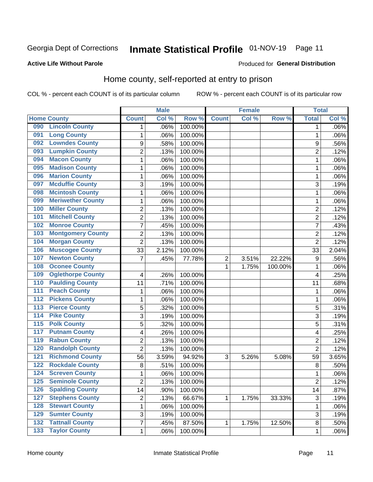## Inmate Statistical Profile 01-NOV-19 Page 11

#### **Active Life Without Parole**

#### Produced for General Distribution

### Home county, self-reported at entry to prison

COL % - percent each COUNT is of its particular column

|                  |                          |                | <b>Male</b> |         |              | <b>Female</b> |         | <b>Total</b>   |         |
|------------------|--------------------------|----------------|-------------|---------|--------------|---------------|---------|----------------|---------|
|                  | <b>Home County</b>       | <b>Count</b>   | Col %       | Row %   | <b>Count</b> | Col %         | Row %   | <b>Total</b>   | Col %   |
| 090              | <b>Lincoln County</b>    | 1              | .06%        | 100.00% |              |               |         | 1              | $.06\%$ |
| 091              | <b>Long County</b>       | 1              | .06%        | 100.00% |              |               |         | 1              | .06%    |
| 092              | <b>Lowndes County</b>    | 9              | .58%        | 100.00% |              |               |         | 9              | .56%    |
| 093              | <b>Lumpkin County</b>    | $\overline{2}$ | .13%        | 100.00% |              |               |         | $\overline{2}$ | .12%    |
| 094              | <b>Macon County</b>      | 1              | .06%        | 100.00% |              |               |         | 1              | .06%    |
| 095              | <b>Madison County</b>    | $\mathbf 1$    | .06%        | 100.00% |              |               |         | 1              | .06%    |
| 096              | <b>Marion County</b>     | $\mathbf 1$    | .06%        | 100.00% |              |               |         | 1              | .06%    |
| 097              | <b>Mcduffie County</b>   | 3              | .19%        | 100.00% |              |               |         | 3              | .19%    |
| 098              | <b>Mcintosh County</b>   | 1              | .06%        | 100.00% |              |               |         | 1              | .06%    |
| 099              | <b>Meriwether County</b> | $\mathbf 1$    | .06%        | 100.00% |              |               |         | 1              | .06%    |
| 100              | <b>Miller County</b>     | $\overline{c}$ | .13%        | 100.00% |              |               |         | 2              | .12%    |
| 101              | <b>Mitchell County</b>   | $\overline{2}$ | .13%        | 100.00% |              |               |         | $\overline{2}$ | .12%    |
| 102              | <b>Monroe County</b>     | 7              | .45%        | 100.00% |              |               |         | 7              | .43%    |
| 103              | <b>Montgomery County</b> | $\overline{2}$ | .13%        | 100.00% |              |               |         | $\overline{2}$ | .12%    |
| 104              | <b>Morgan County</b>     | $\overline{2}$ | .13%        | 100.00% |              |               |         | $\overline{2}$ | .12%    |
| 106              | <b>Muscogee County</b>   | 33             | 2.12%       | 100.00% |              |               |         | 33             | 2.04%   |
| 107              | <b>Newton County</b>     | 7              | .45%        | 77.78%  | 2            | 3.51%         | 22.22%  | 9              | .56%    |
| 108              | <b>Oconee County</b>     |                |             |         | 1            | 1.75%         | 100.00% | 1              | .06%    |
| 109              | <b>Oglethorpe County</b> | 4              | .26%        | 100.00% |              |               |         | 4              | .25%    |
| 110              | <b>Paulding County</b>   | 11             | .71%        | 100.00% |              |               |         | 11             | .68%    |
| 111              | <b>Peach County</b>      | 1              | .06%        | 100.00% |              |               |         | 1              | .06%    |
| $\overline{112}$ | <b>Pickens County</b>    | $\mathbf 1$    | .06%        | 100.00% |              |               |         | 1              | .06%    |
| 113              | <b>Pierce County</b>     | 5              | .32%        | 100.00% |              |               |         | 5              | .31%    |
| 114              | <b>Pike County</b>       | 3              | .19%        | 100.00% |              |               |         | 3              | .19%    |
| $\overline{115}$ | <b>Polk County</b>       | 5              | .32%        | 100.00% |              |               |         | 5              | .31%    |
| 117              | <b>Putnam County</b>     | 4              | .26%        | 100.00% |              |               |         | 4              | .25%    |
| 119              | <b>Rabun County</b>      | $\overline{2}$ | .13%        | 100.00% |              |               |         | $\overline{2}$ | .12%    |
| 120              | <b>Randolph County</b>   | $\overline{2}$ | .13%        | 100.00% |              |               |         | $\overline{2}$ | .12%    |
| 121              | <b>Richmond County</b>   | 56             | 3.59%       | 94.92%  | 3            | 5.26%         | 5.08%   | 59             | 3.65%   |
| 122              | <b>Rockdale County</b>   | 8              | .51%        | 100.00% |              |               |         | 8              | .50%    |
| 124              | <b>Screven County</b>    | 1              | .06%        | 100.00% |              |               |         | 1              | .06%    |
| 125              | <b>Seminole County</b>   | 2              | .13%        | 100.00% |              |               |         | $\overline{c}$ | .12%    |
| 126              | <b>Spalding County</b>   | 14             | .90%        | 100.00% |              |               |         | 14             | .87%    |
| 127              | <b>Stephens County</b>   | $\overline{c}$ | .13%        | 66.67%  | 1            | 1.75%         | 33.33%  | $\mathfrak{S}$ | .19%    |
| 128              | <b>Stewart County</b>    | $\mathbf 1$    | .06%        | 100.00% |              |               |         | 1              | .06%    |
| 129              | <b>Sumter County</b>     | 3              | .19%        | 100.00% |              |               |         | $\mathsf 3$    | .19%    |
| 132              | <b>Tattnall County</b>   | $\overline{7}$ | .45%        | 87.50%  | 1            | 1.75%         | 12.50%  | 8              | .50%    |
| 133              | <b>Taylor County</b>     | $\mathbf{1}$   | .06%        | 100.00% |              |               |         | 1              | .06%    |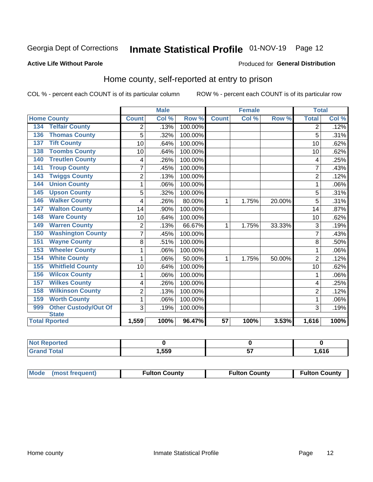## Inmate Statistical Profile 01-NOV-19 Page 12

#### **Active Life Without Parole**

#### Produced for General Distribution

### Home county, self-reported at entry to prison

COL % - percent each COUNT is of its particular column

|                                    |                | <b>Male</b> |         |                 | <b>Female</b> |        |                | <b>Total</b> |  |
|------------------------------------|----------------|-------------|---------|-----------------|---------------|--------|----------------|--------------|--|
| <b>Home County</b>                 | <b>Count</b>   | Col %       | Row %   | <b>Count</b>    | Col %         | Row %  | <b>Total</b>   | Col %        |  |
| <b>Telfair County</b><br>134       | 2              | .13%        | 100.00% |                 |               |        | 2              | .12%         |  |
| <b>Thomas County</b><br>136        | 5              | .32%        | 100.00% |                 |               |        | 5              | .31%         |  |
| <b>Tift County</b><br>137          | 10             | .64%        | 100.00% |                 |               |        | 10             | .62%         |  |
| <b>Toombs County</b><br>138        | 10             | .64%        | 100.00% |                 |               |        | 10             | .62%         |  |
| <b>Treutlen County</b><br>140      | 4              | .26%        | 100.00% |                 |               |        | 4              | .25%         |  |
| <b>Troup County</b><br>141         | $\overline{7}$ | .45%        | 100.00% |                 |               |        | 7              | .43%         |  |
| <b>Twiggs County</b><br>143        | $\overline{c}$ | .13%        | 100.00% |                 |               |        | $\overline{2}$ | .12%         |  |
| <b>Union County</b><br>144         | 1              | .06%        | 100.00% |                 |               |        |                | .06%         |  |
| <b>Upson County</b><br>145         | 5              | .32%        | 100.00% |                 |               |        | 5              | .31%         |  |
| <b>Walker County</b><br>146        | 4              | .26%        | 80.00%  | 1               | 1.75%         | 20.00% | 5              | .31%         |  |
| <b>Walton County</b><br>147        | 14             | .90%        | 100.00% |                 |               |        | 14             | .87%         |  |
| <b>Ware County</b><br>148          | 10             | .64%        | 100.00% |                 |               |        | 10             | .62%         |  |
| <b>Warren County</b><br>149        | $\overline{2}$ | .13%        | 66.67%  | 1               | 1.75%         | 33.33% | 3              | .19%         |  |
| <b>Washington County</b><br>150    | 7              | .45%        | 100.00% |                 |               |        |                | .43%         |  |
| <b>Wayne County</b><br>151         | 8              | .51%        | 100.00% |                 |               |        | 8              | .50%         |  |
| <b>Wheeler County</b><br>153       | 1              | .06%        | 100.00% |                 |               |        | 1              | .06%         |  |
| <b>White County</b><br>154         | 1              | .06%        | 50.00%  | 1               | 1.75%         | 50.00% | $\overline{2}$ | .12%         |  |
| <b>Whitfield County</b><br>155     | 10             | .64%        | 100.00% |                 |               |        | 10             | .62%         |  |
| <b>Wilcox County</b><br>156        | 1              | .06%        | 100.00% |                 |               |        |                | .06%         |  |
| <b>Wilkes County</b><br>157        | 4              | .26%        | 100.00% |                 |               |        | 4              | .25%         |  |
| <b>Wilkinson County</b><br>158     | $\overline{2}$ | .13%        | 100.00% |                 |               |        | $\overline{2}$ | .12%         |  |
| <b>Worth County</b><br>159         | 1              | .06%        | 100.00% |                 |               |        | 1              | .06%         |  |
| <b>Other Custody/Out Of</b><br>999 | 3              | .19%        | 100.00% |                 |               |        | 3              | .19%         |  |
| <b>State</b>                       |                |             |         |                 |               |        |                |              |  |
| <b>Total Rported</b>               | 1,559          | 100%        | 96.47%  | $\overline{57}$ | 100%          | 3.53%  | 1,616          | 100%         |  |

| <b>Not Reported</b> |      |      |
|---------------------|------|------|
| `otal               | ,559 | .616 |

| Mode (most frequent) | <b>Fulton County</b> | <b>Fulton County</b> | <b>Fulton County</b> |
|----------------------|----------------------|----------------------|----------------------|
|----------------------|----------------------|----------------------|----------------------|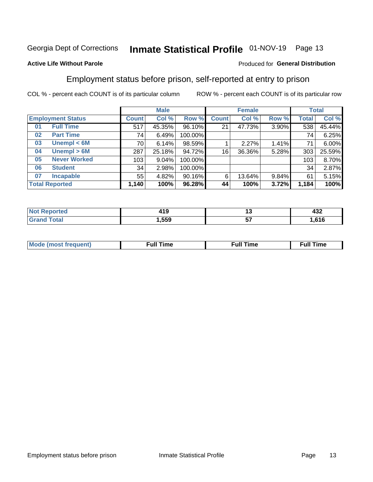## Inmate Statistical Profile 01-NOV-19 Page 13

#### **Active Life Without Parole**

#### Produced for General Distribution

### Employment status before prison, self-reported at entry to prison

COL % - percent each COUNT is of its particular column

|                          |                     | <b>Male</b>  |        |         | <b>Female</b> |        |       | <b>Total</b> |        |
|--------------------------|---------------------|--------------|--------|---------|---------------|--------|-------|--------------|--------|
| <b>Employment Status</b> |                     | <b>Count</b> | Col %  | Row %   | <b>Count</b>  | Col %  | Row % | <b>Total</b> | Col %  |
| 01                       | <b>Full Time</b>    | 517          | 45.35% | 96.10%  | 21            | 47.73% | 3.90% | 538          | 45.44% |
| 02                       | <b>Part Time</b>    | 74           | 6.49%  | 100.00% |               |        |       | 74           | 6.25%  |
| 03                       | Unempl $<$ 6M       | 70           | 6.14%  | 98.59%  |               | 2.27%  | 1.41% | 71           | 6.00%  |
| 04                       | Unempl > 6M         | 287          | 25.18% | 94.72%  | 16            | 36.36% | 5.28% | 303          | 25.59% |
| 05                       | <b>Never Worked</b> | 103          | 9.04%  | 100.00% |               |        |       | 103          | 8.70%  |
| 06                       | <b>Student</b>      | 34           | 2.98%  | 100.00% |               |        |       | 34           | 2.87%  |
| 07                       | <b>Incapable</b>    | 55           | 4.82%  | 90.16%  | 6             | 13.64% | 9.84% | 61           | 5.15%  |
| <b>Total Reported</b>    |                     | 1,140        | 100%   | 96.28%  | 44            | 100%   | 3.72% | 1,184        | 100%   |

| 14 C<br>4 I J<br>$\sim$ | .,      | $\sim$ $\sim$<br>9∪+ |
|-------------------------|---------|----------------------|
| .559                    | --<br>ັ | .616                 |

| Mc | ∴ull | ----<br>ıme<br>w |
|----|------|------------------|
|    |      |                  |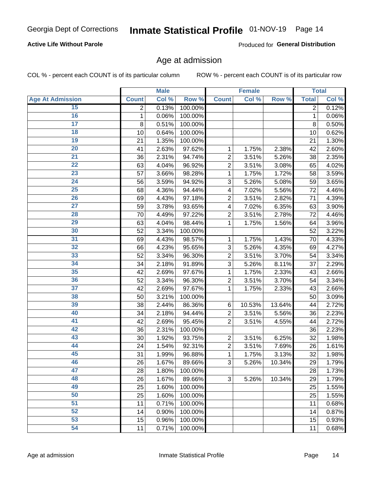#### **Active Life Without Parole**

Produced for General Distribution

### Age at admission

COL % - percent each COUNT is of its particular column

|                         |              | <b>Male</b> |         |                | <b>Female</b> |        |              | <b>Total</b> |
|-------------------------|--------------|-------------|---------|----------------|---------------|--------|--------------|--------------|
| <b>Age At Admission</b> | <b>Count</b> | Col %       | Row %   | <b>Count</b>   | Col %         | Row %  | <b>Total</b> | Col %        |
| 15                      | 2            | 0.13%       | 100.00% |                |               |        | 2            | 0.12%        |
| 16                      | 1            | 0.06%       | 100.00% |                |               |        | 1            | 0.06%        |
| $\overline{17}$         | 8            | 0.51%       | 100.00% |                |               |        | 8            | 0.50%        |
| 18                      | 10           | 0.64%       | 100.00% |                |               |        | 10           | 0.62%        |
| 19                      | 21           | 1.35%       | 100.00% |                |               |        | 21           | 1.30%        |
| $\overline{20}$         | 41           | 2.63%       | 97.62%  | 1              | 1.75%         | 2.38%  | 42           | 2.60%        |
| $\overline{21}$         | 36           | 2.31%       | 94.74%  | $\overline{2}$ | 3.51%         | 5.26%  | 38           | 2.35%        |
| 22                      | 63           | 4.04%       | 96.92%  | $\overline{2}$ | 3.51%         | 3.08%  | 65           | 4.02%        |
| 23                      | 57           | 3.66%       | 98.28%  | 1              | 1.75%         | 1.72%  | 58           | 3.59%        |
| 24                      | 56           | 3.59%       | 94.92%  | 3              | 5.26%         | 5.08%  | 59           | 3.65%        |
| $\overline{25}$         | 68           | 4.36%       | 94.44%  | 4              | 7.02%         | 5.56%  | 72           | 4.46%        |
| 26                      | 69           | 4.43%       | 97.18%  | $\overline{2}$ | 3.51%         | 2.82%  | 71           | 4.39%        |
| $\overline{27}$         | 59           | 3.78%       | 93.65%  | 4              | 7.02%         | 6.35%  | 63           | 3.90%        |
| 28                      | 70           | 4.49%       | 97.22%  | $\overline{2}$ | 3.51%         | 2.78%  | 72           | 4.46%        |
| 29                      | 63           | 4.04%       | 98.44%  | 1              | 1.75%         | 1.56%  | 64           | 3.96%        |
| 30                      | 52           | 3.34%       | 100.00% |                |               |        | 52           | 3.22%        |
| 31                      | 69           | 4.43%       | 98.57%  | 1              | 1.75%         | 1.43%  | 70           | 4.33%        |
| 32                      | 66           | 4.23%       | 95.65%  | 3              | 5.26%         | 4.35%  | 69           | 4.27%        |
| 33                      | 52           | 3.34%       | 96.30%  | $\overline{2}$ | 3.51%         | 3.70%  | 54           | 3.34%        |
| 34                      | 34           | 2.18%       | 91.89%  | 3              | 5.26%         | 8.11%  | 37           | 2.29%        |
| 35                      | 42           | 2.69%       | 97.67%  | 1              | 1.75%         | 2.33%  | 43           | 2.66%        |
| 36                      | 52           | 3.34%       | 96.30%  | $\overline{2}$ | 3.51%         | 3.70%  | 54           | 3.34%        |
| $\overline{37}$         | 42           | 2.69%       | 97.67%  | 1              | 1.75%         | 2.33%  | 43           | 2.66%        |
| 38                      | 50           | 3.21%       | 100.00% |                |               |        | 50           | 3.09%        |
| 39                      | 38           | 2.44%       | 86.36%  | 6              | 10.53%        | 13.64% | 44           | 2.72%        |
| 40                      | 34           | 2.18%       | 94.44%  | $\overline{2}$ | 3.51%         | 5.56%  | 36           | 2.23%        |
| 41                      | 42           | 2.69%       | 95.45%  | $\overline{2}$ | 3.51%         | 4.55%  | 44           | 2.72%        |
| 42                      | 36           | 2.31%       | 100.00% |                |               |        | 36           | 2.23%        |
| 43                      | 30           | 1.92%       | 93.75%  | $\overline{2}$ | 3.51%         | 6.25%  | 32           | 1.98%        |
| 44                      | 24           | 1.54%       | 92.31%  | $\overline{2}$ | 3.51%         | 7.69%  | 26           | 1.61%        |
| 45                      | 31           | 1.99%       | 96.88%  | 1              | 1.75%         | 3.13%  | 32           | 1.98%        |
| 46                      | 26           | 1.67%       | 89.66%  | 3              | 5.26%         | 10.34% | 29           | 1.79%        |
| 47                      | 28           | 1.80%       | 100.00% |                |               |        | 28           | 1.73%        |
| 48                      | 26           | 1.67%       | 89.66%  | 3              | 5.26%         | 10.34% | 29           | 1.79%        |
| 49                      | 25           | 1.60%       | 100.00% |                |               |        | 25           | 1.55%        |
| 50                      | 25           | 1.60%       | 100.00% |                |               |        | 25           | 1.55%        |
| $\overline{51}$         | 11           | 0.71%       | 100.00% |                |               |        | 11           | 0.68%        |
| 52                      | 14           | 0.90%       | 100.00% |                |               |        | 14           | 0.87%        |
| 53                      | 15           | 0.96%       | 100.00% |                |               |        | 15           | 0.93%        |
| 54                      | 11           | 0.71%       | 100.00% |                |               |        | 11           | 0.68%        |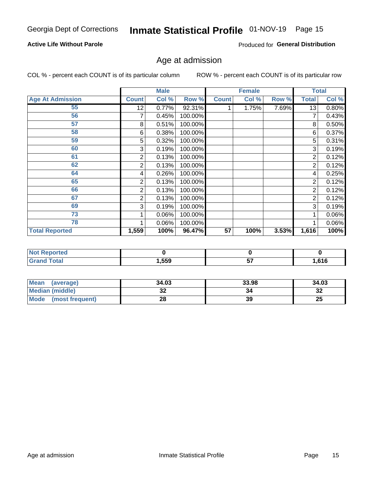#### **Active Life Without Parole**

Produced for General Distribution

## Age at admission

COL % - percent each COUNT is of its particular column

|                         |              | <b>Male</b> |         |              | <b>Female</b> |       |              | <b>Total</b> |
|-------------------------|--------------|-------------|---------|--------------|---------------|-------|--------------|--------------|
| <b>Age At Admission</b> | <b>Count</b> | Col %       | Row %   | <b>Count</b> | Col %         | Row % | <b>Total</b> | Col %        |
| 55                      | 12           | 0.77%       | 92.31%  |              | 1.75%         | 7.69% | 13           | 0.80%        |
| 56                      |              | 0.45%       | 100.00% |              |               |       | 7            | 0.43%        |
| 57                      | 8            | 0.51%       | 100.00% |              |               |       | 8            | 0.50%        |
| 58                      | 6            | 0.38%       | 100.00% |              |               |       | 6            | 0.37%        |
| 59                      | 5            | 0.32%       | 100.00% |              |               |       | 5            | 0.31%        |
| 60                      | 3            | 0.19%       | 100.00% |              |               |       | 3            | 0.19%        |
| 61                      | 2            | 0.13%       | 100.00% |              |               |       | 2            | 0.12%        |
| 62                      | 2            | 0.13%       | 100.00% |              |               |       | 2            | 0.12%        |
| 64                      | 4            | 0.26%       | 100.00% |              |               |       | 4            | 0.25%        |
| 65                      | 2            | 0.13%       | 100.00% |              |               |       | 2            | 0.12%        |
| 66                      | 2            | 0.13%       | 100.00% |              |               |       | 2            | 0.12%        |
| 67                      | 2            | 0.13%       | 100.00% |              |               |       | 2            | 0.12%        |
| 69                      | 3            | 0.19%       | 100.00% |              |               |       | 3            | 0.19%        |
| 73                      |              | 0.06%       | 100.00% |              |               |       |              | 0.06%        |
| 78                      |              | 0.06%       | 100.00% |              |               |       |              | 0.06%        |
| <b>Total Reported</b>   | 1,559        | 100%        | 96.47%  | 57           | 100%          | 3.53% | 1,616        | 100%         |

| <b>Not Reported</b> |      |          |        |
|---------------------|------|----------|--------|
| Total               | ,559 | --<br>v. | 616, ا |

| <b>Mean</b><br>(average) | 34.03 | 33.98 | 34.03    |
|--------------------------|-------|-------|----------|
| <b>Median (middle)</b>   | ЭZ    | 34    | າາ<br>34 |
| Mode<br>(most frequent)  | ΖO    | 39    | 25       |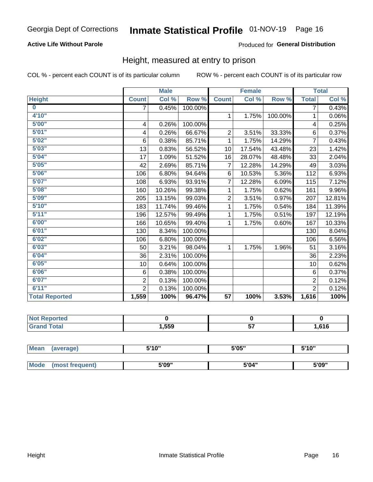#### **Active Life Without Parole**

#### Produced for General Distribution

### Height, measured at entry to prison

COL % - percent each COUNT is of its particular column

|                       |                | <b>Male</b> |         |                 | <b>Female</b> |         |                | <b>Total</b> |
|-----------------------|----------------|-------------|---------|-----------------|---------------|---------|----------------|--------------|
| <b>Height</b>         | <b>Count</b>   | Col %       | Row %   | <b>Count</b>    | Col %         | Row %   | <b>Total</b>   | Col %        |
| $\bf{0}$              | 7              | 0.45%       | 100.00% |                 |               |         | 7              | 0.43%        |
| 4'10''                |                |             |         | $\mathbf{1}$    | 1.75%         | 100.00% | 1              | 0.06%        |
| 5'00''                | 4              | 0.26%       | 100.00% |                 |               |         | 4              | 0.25%        |
| 5'01"                 | 4              | 0.26%       | 66.67%  | $\overline{c}$  | 3.51%         | 33.33%  | 6              | 0.37%        |
| 5'02"                 | 6              | 0.38%       | 85.71%  | 1               | 1.75%         | 14.29%  | $\overline{7}$ | 0.43%        |
| 5'03''                | 13             | 0.83%       | 56.52%  | 10              | 17.54%        | 43.48%  | 23             | 1.42%        |
| 5'04"                 | 17             | 1.09%       | 51.52%  | 16              | 28.07%        | 48.48%  | 33             | 2.04%        |
| 5'05"                 | 42             | 2.69%       | 85.71%  | $\overline{7}$  | 12.28%        | 14.29%  | 49             | 3.03%        |
| 5'06''                | 106            | 6.80%       | 94.64%  | 6               | 10.53%        | 5.36%   | 112            | 6.93%        |
| 5'07''                | 108            | 6.93%       | 93.91%  | 7               | 12.28%        | 6.09%   | 115            | 7.12%        |
| 5'08''                | 160            | 10.26%      | 99.38%  | 1               | 1.75%         | 0.62%   | 161            | 9.96%        |
| 5'09''                | 205            | 13.15%      | 99.03%  | $\overline{2}$  | 3.51%         | 0.97%   | 207            | 12.81%       |
| 5'10''                | 183            | 11.74%      | 99.46%  | 1               | 1.75%         | 0.54%   | 184            | 11.39%       |
| 5'11"                 | 196            | 12.57%      | 99.49%  | 1               | 1.75%         | 0.51%   | 197            | 12.19%       |
| 6'00''                | 166            | 10.65%      | 99.40%  | 1               | 1.75%         | 0.60%   | 167            | 10.33%       |
| 6'01''                | 130            | 8.34%       | 100.00% |                 |               |         | 130            | 8.04%        |
| 6'02"                 | 106            | 6.80%       | 100.00% |                 |               |         | 106            | 6.56%        |
| 6'03''                | 50             | 3.21%       | 98.04%  | $\mathbf{1}$    | 1.75%         | 1.96%   | 51             | 3.16%        |
| 6'04"                 | 36             | 2.31%       | 100.00% |                 |               |         | 36             | 2.23%        |
| 6'05"                 | 10             | 0.64%       | 100.00% |                 |               |         | 10             | 0.62%        |
| 6'06''                | 6              | 0.38%       | 100.00% |                 |               |         | 6              | 0.37%        |
| 6'07''                | $\overline{2}$ | 0.13%       | 100.00% |                 |               |         | $\overline{2}$ | 0.12%        |
| 6'11''                | $\overline{2}$ | 0.13%       | 100.00% |                 |               |         | $\overline{2}$ | 0.12%        |
| <b>Total Reported</b> | 1,559          | 100%        | 96.47%  | $\overline{57}$ | 100%          | 3.53%   | 1,616          | 100%         |

| rea<br>'N ( |        |          |      |
|-------------|--------|----------|------|
|             | 559, ا | --<br>J1 | .616 |

| <b>Mean</b> | (average)       | 5'10" | 5'05" | 5'10" |  |
|-------------|-----------------|-------|-------|-------|--|
|             |                 |       |       |       |  |
| Mode        | (most frequent) | 5'09" | 5'04" | 5'09" |  |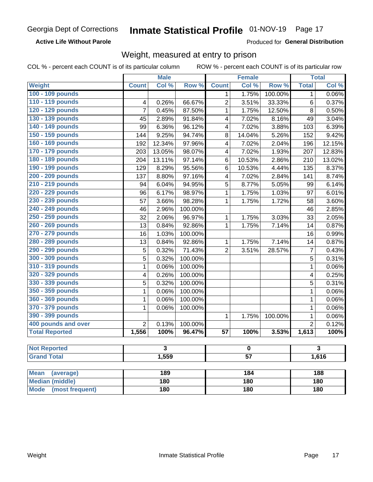**Active Life Without Parole** 

Produced for General Distribution

### Weight, measured at entry to prison

COL % - percent each COUNT is of its particular column

|                                |                | <b>Male</b> |         |                 | <b>Female</b> |         |                | <b>Total</b> |  |
|--------------------------------|----------------|-------------|---------|-----------------|---------------|---------|----------------|--------------|--|
| <b>Weight</b>                  | <b>Count</b>   | Col %       | Row %   | <b>Count</b>    | Col %         | Row %   | <b>Total</b>   | Col %        |  |
| 100 - 109 pounds               |                |             |         | 1               | 1.75%         | 100.00% | 1              | 0.06%        |  |
| 110 - 119 pounds               | 4              | 0.26%       | 66.67%  | $\overline{2}$  | 3.51%         | 33.33%  | 6              | 0.37%        |  |
| 120 - 129 pounds               | $\overline{7}$ | 0.45%       | 87.50%  | 1               | 1.75%         | 12.50%  | 8              | 0.50%        |  |
| 130 - 139 pounds               | 45             | 2.89%       | 91.84%  | 4               | 7.02%         | 8.16%   | 49             | 3.04%        |  |
| 140 - 149 pounds               | 99             | 6.36%       | 96.12%  | 4               | 7.02%         | 3.88%   | 103            | 6.39%        |  |
| 150 - 159 pounds               | 144            | 9.25%       | 94.74%  | 8               | 14.04%        | 5.26%   | 152            | 9.42%        |  |
| 160 - 169 pounds               | 192            | 12.34%      | 97.96%  | 4               | 7.02%         | 2.04%   | 196            | 12.15%       |  |
| 170 - 179 pounds               | 203            | 13.05%      | 98.07%  | 4               | 7.02%         | 1.93%   | 207            | 12.83%       |  |
| 180 - 189 pounds               | 204            | 13.11%      | 97.14%  | 6               | 10.53%        | 2.86%   | 210            | 13.02%       |  |
| 190 - 199 pounds               | 129            | 8.29%       | 95.56%  | 6               | 10.53%        | 4.44%   | 135            | 8.37%        |  |
| 200 - 209 pounds               | 137            | 8.80%       | 97.16%  | 4               | 7.02%         | 2.84%   | 141            | 8.74%        |  |
| 210 - 219 pounds               | 94             | 6.04%       | 94.95%  | 5               | 8.77%         | 5.05%   | 99             | 6.14%        |  |
| 220 - 229 pounds               | 96             | 6.17%       | 98.97%  | 1               | 1.75%         | 1.03%   | 97             | 6.01%        |  |
| 230 - 239 pounds               | 57             | 3.66%       | 98.28%  | 1               | 1.75%         | 1.72%   | 58             | 3.60%        |  |
| 240 - 249 pounds               | 46             | 2.96%       | 100.00% |                 |               |         | 46             | 2.85%        |  |
| 250 - 259 pounds               | 32             | 2.06%       | 96.97%  | 1               | 1.75%         | 3.03%   | 33             | 2.05%        |  |
| 260 - 269 pounds               | 13             | 0.84%       | 92.86%  | 1               | 1.75%         | 7.14%   | 14             | 0.87%        |  |
| 270 - 279 pounds               | 16             | 1.03%       | 100.00% |                 |               |         | 16             | 0.99%        |  |
| 280 - 289 pounds               | 13             | 0.84%       | 92.86%  | 1               | 1.75%         | 7.14%   | 14             | 0.87%        |  |
| 290 - 299 pounds               | 5              | 0.32%       | 71.43%  | $\overline{2}$  | 3.51%         | 28.57%  | $\overline{7}$ | 0.43%        |  |
| 300 - 309 pounds               | 5              | 0.32%       | 100.00% |                 |               |         | 5              | 0.31%        |  |
| 310 - 319 pounds               | 1              | 0.06%       | 100.00% |                 |               |         | $\mathbf 1$    | 0.06%        |  |
| 320 - 329 pounds               | 4              | 0.26%       | 100.00% |                 |               |         | 4              | 0.25%        |  |
| 330 - 339 pounds               | 5              | 0.32%       | 100.00% |                 |               |         | 5              | 0.31%        |  |
| 350 - 359 pounds               | 1              | 0.06%       | 100.00% |                 |               |         | 1              | 0.06%        |  |
| 360 - 369 pounds               | 1              | 0.06%       | 100.00% |                 |               |         | $\mathbf 1$    | 0.06%        |  |
| 370 - 379 pounds               | 1              | 0.06%       | 100.00% |                 |               |         | 1              | 0.06%        |  |
| 390 - 399 pounds               |                |             |         | 1               | 1.75%         | 100.00% | 1              | 0.06%        |  |
| 400 pounds and over            | $\overline{2}$ | 0.13%       | 100.00% |                 |               |         | $\overline{2}$ | 0.12%        |  |
| <b>Total Reported</b>          | 1,556          | 100%        | 96.47%  | $\overline{57}$ | 100%          | 3.53%   | 1,613          | 100%         |  |
|                                |                |             |         |                 |               |         |                |              |  |
| <b>Not Reported</b>            |                | 3           |         |                 | $\bf{0}$      |         |                | 3            |  |
| <b>Grand Total</b>             |                | 1,559       |         | $\overline{57}$ |               |         |                | 1,616        |  |
|                                |                |             |         |                 |               |         |                |              |  |
| <b>Mean</b><br>(average)       |                | 189         |         |                 | 184           |         |                | 188          |  |
| <b>Median (middle)</b>         |                | 180         |         |                 | 180           |         |                | 180          |  |
| <b>Mode</b><br>(most frequent) |                | 180         |         | 180             |               |         | <b>180</b>     |              |  |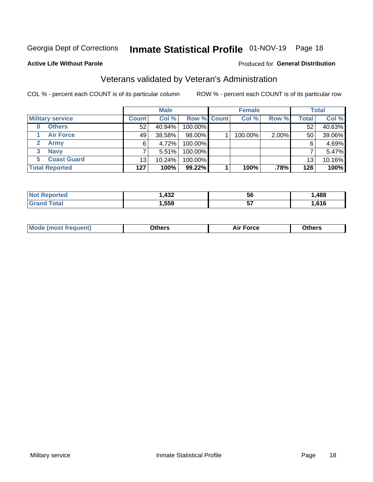## Inmate Statistical Profile 01-NOV-19 Page 18

#### **Active Life Without Parole**

#### Produced for General Distribution

### Veterans validated by Veteran's Administration

COL % - percent each COUNT is of its particular column

|                          |              | <b>Male</b> |                    | <b>Female</b> |       |              | <b>Total</b> |
|--------------------------|--------------|-------------|--------------------|---------------|-------|--------------|--------------|
| <b>Military service</b>  | <b>Count</b> | Col %       | <b>Row % Count</b> | Col %         | Row % | <b>Total</b> | Col %        |
| <b>Others</b>            | 52           | 40.94%      | 100.00%            |               |       | 52           | 40.63%       |
| <b>Air Force</b>         | 49           | 38.58%      | 98.00%             | 100.00%       | 2.00% | 50           | 39.06%       |
| $\mathbf{2}^-$<br>Army   | 6            | 4.72%       | 100.00%            |               |       | 6            | 4.69%        |
| <b>Navy</b><br>3         |              | 5.51%       | 100.00%            |               |       |              | 5.47%        |
| <b>Coast Guard</b><br>5. | 13           | $10.24\%$   | 100.00%            |               |       | 13           | 10.16%       |
| <b>Total Reported</b>    | 127          | 100%        | 99.22%             | 100%          | .78%  | 128          | 100%         |

| rteo    | 122<br>TVŁ | 56       | ,488 |
|---------|------------|----------|------|
| $f = f$ | ,559       | --<br>J, | ,616 |

| <b>Moo.</b> |
|-------------|
|-------------|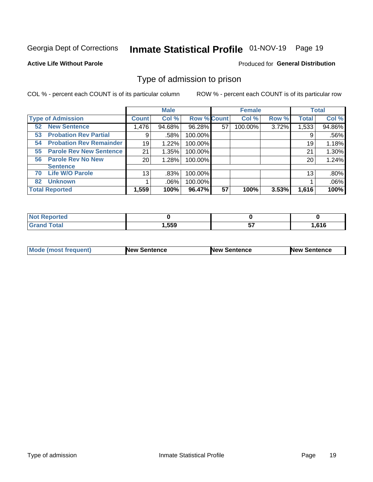## Inmate Statistical Profile 01-NOV-19 Page 19

#### **Active Life Without Parole**

#### Produced for General Distribution

### Type of admission to prison

COL % - percent each COUNT is of its particular column

|                                      |                 | <b>Male</b> |                    |    | <b>Female</b> |       |              | <b>Total</b> |
|--------------------------------------|-----------------|-------------|--------------------|----|---------------|-------|--------------|--------------|
| <b>Type of Admission</b>             | <b>Count</b>    | Col %       | <b>Row % Count</b> |    | Col %         | Row % | <b>Total</b> | Col %        |
| <b>New Sentence</b><br>52            | 1,476           | 94.68%      | 96.28%             | 57 | 100.00%       | 3.72% | 1,533        | 94.86%       |
| <b>Probation Rev Partial</b><br>53   | 9               | .58%        | 100.00%            |    |               |       | 9            | .56%         |
| <b>Probation Rev Remainder</b><br>54 | 19              | 1.22%       | 100.00%            |    |               |       | 19           | 1.18%        |
| <b>Parole Rev New Sentence</b><br>55 | 21              | 1.35%       | 100.00%            |    |               |       | 21           | 1.30%        |
| <b>Parole Rev No New</b><br>56       | 20 <sub>1</sub> | 1.28%       | 100.00%            |    |               |       | 20           | 1.24%        |
| <b>Sentence</b>                      |                 |             |                    |    |               |       |              |              |
| <b>Life W/O Parole</b><br>70         | 13              | .83%        | 100.00%            |    |               |       | 13           | .80%         |
| <b>Unknown</b><br>82                 |                 | .06%        | 100.00%            |    |               |       |              | .06%         |
| <b>Total Reported</b>                | 1,559           | 100%        | 96.47%             | 57 | 100%          | 3.53% | 1,616        | 100%         |

| <b>Not Reported</b> |       |        |       |
|---------------------|-------|--------|-------|
| <b>Grand Total</b>  | 1,559 | --<br> | .616، |

| Mode (most frequent) | <b>New Sentence</b> | <b>New Sentence</b> | <b>New Sentence</b> |
|----------------------|---------------------|---------------------|---------------------|
|                      |                     |                     |                     |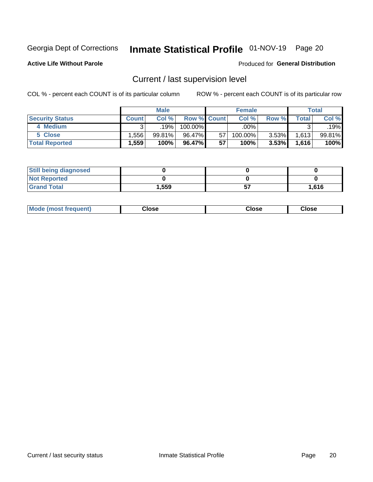## Inmate Statistical Profile 01-NOV-19 Page 20

**Active Life Without Parole** 

#### Produced for General Distribution

## Current / last supervision level

COL % - percent each COUNT is of its particular column

|                        |              | <b>Male</b> |                    |    | <b>Female</b> |          |                    | <b>Total</b> |
|------------------------|--------------|-------------|--------------------|----|---------------|----------|--------------------|--------------|
| <b>Security Status</b> | <b>Count</b> | Col %       | <b>Row % Count</b> |    | Col %         | Row %    | Total <sub>1</sub> | Col %        |
| 4 Medium               |              | 19%         | 100.00%            |    | .00%          |          | ົ                  | $.19\%$      |
| 5 Close                | .556         | 99.81%      | 96.47%             | 57 | 100.00%       | $3.53\%$ | 1,613              | 99.81%       |
| <b>Total Reported</b>  | .559         | 100%        | 96.47%             | 57 | 100%          | 3.53%    | 1,616              | 100%         |

| <b>Still being diagnosed</b> |       |       |
|------------------------------|-------|-------|
| <b>Not Reported</b>          |       |       |
| <b>Grand Total</b>           | 1,559 | 1,616 |

| <b>Mode (most frequent)</b> | Close | ∵lose | Close |
|-----------------------------|-------|-------|-------|
|                             |       |       |       |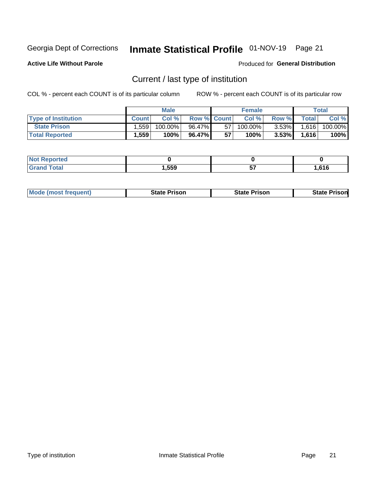## Inmate Statistical Profile 01-NOV-19 Page 21

**Active Life Without Parole** 

Produced for General Distribution

## Current / last type of institution

COL % - percent each COUNT is of its particular column

|                            |              | <b>Male</b> |                    |    | <b>Female</b> |          |              | <b>Total</b> |
|----------------------------|--------------|-------------|--------------------|----|---------------|----------|--------------|--------------|
| <b>Type of Institution</b> | <b>Count</b> | Col%        | <b>Row % Count</b> |    | Col %         | Row %    | <b>Total</b> | Col %        |
| <b>State Prison</b>        | 1,559        | 100.00%     | 96.47%             | 57 | 100.00%       | $3.53\%$ | 1,616        | 100.00%      |
| <b>Total Reported</b>      | 1,559        | 100%        | 96.47%             | 57 | $100\%$ .     | $3.53\%$ | 1.616        | 100%         |

| w<br>тео |      |          |      |
|----------|------|----------|------|
|          | .559 | --<br>J. | .616 |

|  | <b>Mode (most frequent)</b> | State Prison | <b>State Prison</b> | <b>State Prison</b> |
|--|-----------------------------|--------------|---------------------|---------------------|
|--|-----------------------------|--------------|---------------------|---------------------|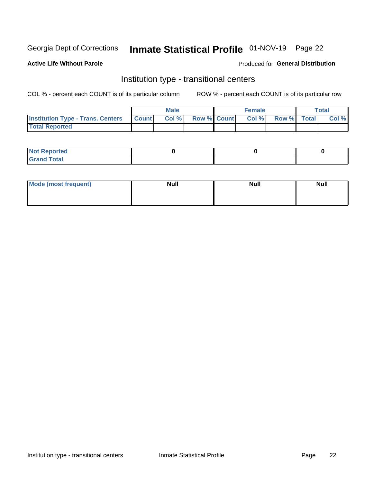## Inmate Statistical Profile 01-NOV-19 Page 22

#### **Active Life Without Parole**

#### Produced for General Distribution

### Institution type - transitional centers

COL % - percent each COUNT is of its particular column

|                                                | <b>Male</b> |                    | <b>Female</b> |             | <b>Total</b> |
|------------------------------------------------|-------------|--------------------|---------------|-------------|--------------|
| <b>Institution Type - Trans. Centers Count</b> | CoI%        | <b>Row % Count</b> | Col % l       | Row % Total | Col %        |
| <b>Total Reported</b>                          |             |                    |               |             |              |

| <b>Reported</b><br><b>NOT</b><br>$\sim$            |  |  |
|----------------------------------------------------|--|--|
| $f$ $f \circ f \circ f$<br>$C = 1$<br><b>TULAI</b> |  |  |

| Mode (most frequent) | <b>Null</b> | <b>Null</b> | <b>Null</b> |
|----------------------|-------------|-------------|-------------|
|                      |             |             |             |
|                      |             |             |             |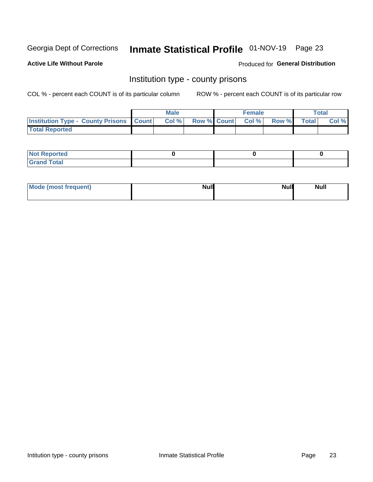## Inmate Statistical Profile 01-NOV-19 Page 23

**Active Life Without Parole** 

Produced for General Distribution

### Institution type - county prisons

COL % - percent each COUNT is of its particular column

|                                                    | <b>Male</b> |       |  | <b>Female</b> |                          |             | <b>Total</b> |       |
|----------------------------------------------------|-------------|-------|--|---------------|--------------------------|-------------|--------------|-------|
| <b>Institution Type - County Prisons   Count  </b> |             | Col % |  |               | <b>Row % Count Col %</b> | Row % Total |              | Col % |
| <b>Total Reported</b>                              |             |       |  |               |                          |             |              |       |

| <b>Not Reported</b>   |  |  |
|-----------------------|--|--|
| <b>Total</b><br>Granc |  |  |

| Mode (most frequent) | <b>Null</b> | <b>Null</b><br><b>Null</b> |
|----------------------|-------------|----------------------------|
|                      |             |                            |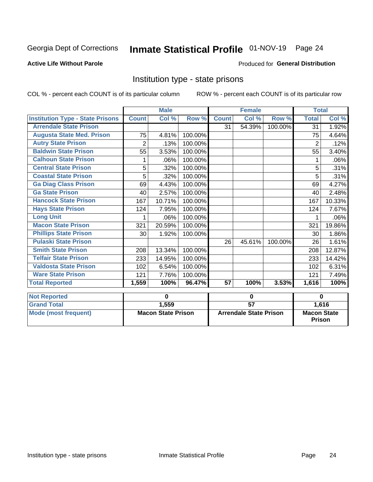## Inmate Statistical Profile 01-NOV-19 Page 24

#### **Active Life Without Parole**

#### Produced for General Distribution

### Institution type - state prisons

COL % - percent each COUNT is of its particular column

|                                         | <b>Male</b>               |        |                               |                 | <b>Female</b> |                                     | <b>Total</b>   |        |
|-----------------------------------------|---------------------------|--------|-------------------------------|-----------------|---------------|-------------------------------------|----------------|--------|
| <b>Institution Type - State Prisons</b> | <b>Count</b>              | Col %  | Row %                         | <b>Count</b>    | Col %         | Row %                               | <b>Total</b>   | Col %  |
| <b>Arrendale State Prison</b>           |                           |        |                               | 31              | 54.39%        | 100.00%                             | 31             | 1.92%  |
| <b>Augusta State Med. Prison</b>        | 75                        | 4.81%  | 100.00%                       |                 |               |                                     | 75             | 4.64%  |
| <b>Autry State Prison</b>               | $\overline{2}$            | .13%   | 100.00%                       |                 |               |                                     | $\overline{2}$ | .12%   |
| <b>Baldwin State Prison</b>             | 55                        | 3.53%  | 100.00%                       |                 |               |                                     | 55             | 3.40%  |
| <b>Calhoun State Prison</b>             |                           | .06%   | 100.00%                       |                 |               |                                     |                | .06%   |
| <b>Central State Prison</b>             | 5                         | .32%   | 100.00%                       |                 |               |                                     | 5              | .31%   |
| <b>Coastal State Prison</b>             | 5                         | .32%   | 100.00%                       |                 |               |                                     | 5              | .31%   |
| <b>Ga Diag Class Prison</b>             | 69                        | 4.43%  | 100.00%                       |                 |               |                                     | 69             | 4.27%  |
| <b>Ga State Prison</b>                  | 40                        | 2.57%  | 100.00%                       |                 |               |                                     | 40             | 2.48%  |
| <b>Hancock State Prison</b>             | 167                       | 10.71% | 100.00%                       |                 |               |                                     | 167            | 10.33% |
| <b>Hays State Prison</b>                | 124                       | 7.95%  | 100.00%                       |                 |               |                                     | 124            | 7.67%  |
| <b>Long Unit</b>                        | 1                         | .06%   | 100.00%                       |                 |               |                                     |                | .06%   |
| <b>Macon State Prison</b>               | 321                       | 20.59% | 100.00%                       |                 |               |                                     | 321            | 19.86% |
| <b>Phillips State Prison</b>            | 30                        | 1.92%  | 100.00%                       |                 |               |                                     | 30             | 1.86%  |
| <b>Pulaski State Prison</b>             |                           |        |                               | 26              | 45.61%        | 100.00%                             | 26             | 1.61%  |
| <b>Smith State Prison</b>               | 208                       | 13.34% | 100.00%                       |                 |               |                                     | 208            | 12.87% |
| <b>Telfair State Prison</b>             | 233                       | 14.95% | 100.00%                       |                 |               |                                     | 233            | 14.42% |
| <b>Valdosta State Prison</b>            | 102                       | 6.54%  | 100.00%                       |                 |               |                                     | 102            | 6.31%  |
| <b>Ware State Prison</b>                | 121                       | 7.76%  | 100.00%                       |                 |               |                                     | 121            | 7.49%  |
| <b>Total Reported</b>                   | 1,559                     | 100%   | 96.47%                        | 57              | 100%          | 3.53%                               | 1,616          | 100%   |
| <b>Not Reported</b>                     | 0                         |        | 0                             |                 |               | $\bf{0}$                            |                |        |
| <b>Grand Total</b>                      |                           | 1,559  |                               | $\overline{57}$ |               |                                     | 1,616          |        |
| <b>Mode (most frequent)</b>             | <b>Macon State Prison</b> |        | <b>Arrendale State Prison</b> |                 |               | <b>Macon State</b><br><b>Prison</b> |                |        |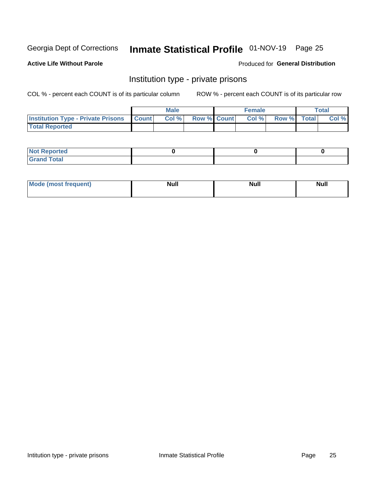## Inmate Statistical Profile 01-NOV-19 Page 25

#### **Active Life Without Parole**

#### Produced for General Distribution

### Institution type - private prisons

COL % - percent each COUNT is of its particular column

|                                                     | <b>Male</b> |       |                    | <b>Female</b> |       |             | Total |       |
|-----------------------------------------------------|-------------|-------|--------------------|---------------|-------|-------------|-------|-------|
| <b>Institution Type - Private Prisons   Count  </b> |             | Col % | <b>Row % Count</b> |               | Col % | Row % Total |       | Col % |
| <b>Total Reported</b>                               |             |       |                    |               |       |             |       |       |

| Not Reported           |  |  |
|------------------------|--|--|
| <b>Cotal</b><br>______ |  |  |

| <b>Mo</b><br>frequent) | <b>Null</b> | <b>Null</b> | . . I *<br><b>IVUII</b> |
|------------------------|-------------|-------------|-------------------------|
|                        |             |             |                         |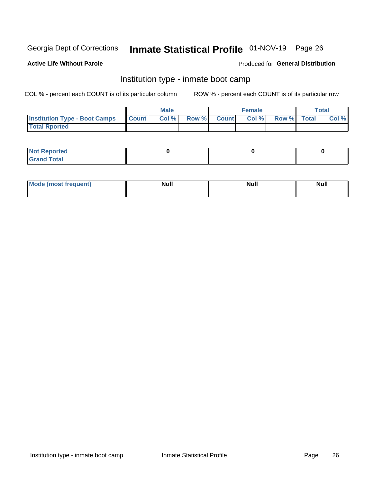## Inmate Statistical Profile 01-NOV-19 Page 26

#### **Active Life Without Parole**

#### Produced for General Distribution

### Institution type - inmate boot camp

COL % - percent each COUNT is of its particular column

|                                            | <b>Male</b> |      |                    | <b>Female</b> | <b>Total</b> |  |       |
|--------------------------------------------|-------------|------|--------------------|---------------|--------------|--|-------|
| <b>Institution Type - Boot Camps Count</b> |             | Col% | <b>Row % Count</b> | Col%          | Row % Total  |  | Col % |
| <b>Total Rported</b>                       |             |      |                    |               |              |  |       |

| <b>Not Reported</b>            |  |  |
|--------------------------------|--|--|
| <b>Total</b><br>C <sub>r</sub> |  |  |

| Mod<br>uamo | Nul.<br>$- - - - - -$ | <b>Null</b> | . .<br>uu.<br>------ |
|-------------|-----------------------|-------------|----------------------|
|             |                       |             |                      |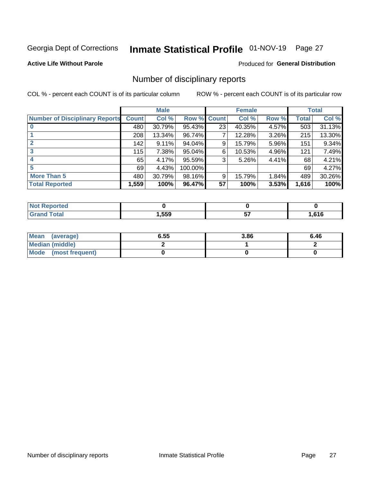## Inmate Statistical Profile 01-NOV-19 Page 27

#### **Active Life Without Parole**

#### Produced for General Distribution

### Number of disciplinary reports

COL % - percent each COUNT is of its particular column

|                                       | <b>Male</b>  |          |         | <b>Female</b> |        |       | <b>Total</b> |        |
|---------------------------------------|--------------|----------|---------|---------------|--------|-------|--------------|--------|
| <b>Number of Disciplinary Reports</b> | <b>Count</b> | Col %    | Row %   | <b>Count</b>  | Col %  | Row % | Total        | Col %  |
|                                       | 480          | 30.79%   | 95.43%  | 23            | 40.35% | 4.57% | 503          | 31.13% |
|                                       | 208          | 13.34%   | 96.74%  | 7             | 12.28% | 3.26% | 215          | 13.30% |
| $\mathbf{2}$                          | 142          | $9.11\%$ | 94.04%  | 9             | 15.79% | 5.96% | 151          | 9.34%  |
| 3                                     | 115          | 7.38%    | 95.04%  | 6             | 10.53% | 4.96% | 121          | 7.49%  |
|                                       | 65           | 4.17%    | 95.59%  | 3             | 5.26%  | 4.41% | 68           | 4.21%  |
| 5                                     | 69           | 4.43%    | 100.00% |               |        |       | 69           | 4.27%  |
| <b>More Than 5</b>                    | 480          | 30.79%   | 98.16%  | 9             | 15.79% | 1.84% | 489          | 30.26% |
| <b>Total Reported</b>                 | 1,559        | 100%     | 96.47%  | 57            | 100%   | 3.53% | 1,616        | 100%   |

| prted<br>NOT |      |       |
|--------------|------|-------|
| 'otal        | ,559 | .616، |

| Mean (average)       | 6.55 | 3.86 | 6.46 |
|----------------------|------|------|------|
| Median (middle)      |      |      |      |
| Mode (most frequent) |      |      |      |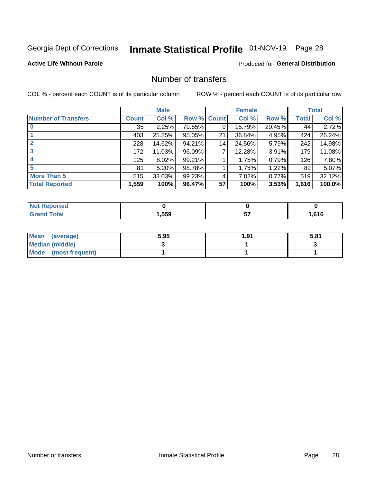## Inmate Statistical Profile 01-NOV-19 Page 28

#### **Active Life Without Parole**

#### **Produced for General Distribution**

### Number of transfers

COL % - percent each COUNT is of its particular column

|                            |              | <b>Male</b> |        |              | <b>Female</b> |        |              | <b>Total</b> |
|----------------------------|--------------|-------------|--------|--------------|---------------|--------|--------------|--------------|
| <b>Number of Transfers</b> | <b>Count</b> | Col %       | Row %  | <b>Count</b> | Col %         | Row %  | <b>Total</b> | Col %        |
|                            | 35           | 2.25%       | 79.55% | 9            | 15.79%        | 20.45% | 44           | 2.72%        |
|                            | 403          | 25.85%      | 95.05% | 21           | 36.84%        | 4.95%  | 424          | 26.24%       |
| $\mathbf{2}$               | 228          | 14.62%      | 94.21% | 14           | 24.56%        | 5.79%  | 242          | 14.98%       |
| 3                          | 172          | 11.03%      | 96.09% | 7            | 12.28%        | 3.91%  | 179          | 11.08%       |
| 4                          | 125          | $8.02\%$    | 99.21% |              | 1.75%         | 0.79%  | 126          | 7.80%        |
| 5                          | 81           | 5.20%       | 98.78% |              | 1.75%         | 1.22%  | 82           | 5.07%        |
| <b>More Than 5</b>         | 515          | 33.03%      | 99.23% | 4            | 7.02%         | 0.77%  | 519          | 32.12%       |
| <b>Total Reported</b>      | 1,559        | 100%        | 96.47% | 57           | 100%          | 3.53%  | 1,616        | 100.0%       |

| วrted<br>NO  |      |      |
|--------------|------|------|
| <b>Total</b> | ,559 | .616 |

| Mean (average)       | 5.95 | 1.91 | 5.81 |
|----------------------|------|------|------|
| Median (middle)      |      |      |      |
| Mode (most frequent) |      |      |      |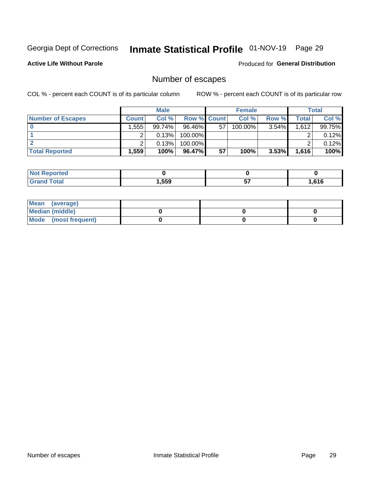## Inmate Statistical Profile 01-NOV-19 Page 29

**Active Life Without Parole** 

Produced for General Distribution

## Number of escapes

COL % - percent each COUNT is of its particular column

|                          | <b>Male</b>       |          |                    | <b>Female</b> |         |          | Total |        |
|--------------------------|-------------------|----------|--------------------|---------------|---------|----------|-------|--------|
| <b>Number of Escapes</b> | <b>Count</b>      | Col %    | <b>Row % Count</b> |               | Col %   | Row %    | Total | Col %  |
|                          | .5551             | 99.74% l | $96.46\%$          | 57            | 100.00% | $3.54\%$ | 1,612 | 99.75% |
|                          |                   | 0.13%    | $100.00\%$         |               |         |          |       | 0.12%  |
|                          |                   | 0.13%    | $100.00\%$         |               |         |          |       | 0.12%  |
| <b>Total Reported</b>    | .559 <sup>1</sup> | 100%     | 96.47%             | 57            | 100%    | $3.53\%$ | 1,616 | 100%   |

| rtea<br><b>NOT</b>    |      |          |      |
|-----------------------|------|----------|------|
| <b>Total</b><br>Grand | .559 | --<br>v, | .616 |

| Mean (average)       |  |  |
|----------------------|--|--|
| Median (middle)      |  |  |
| Mode (most frequent) |  |  |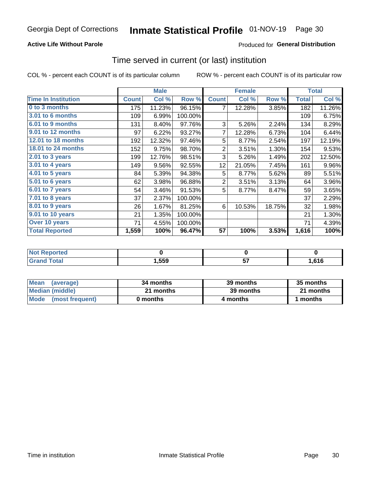#### **Active Life Without Parole**

#### Produced for General Distribution

### Time served in current (or last) institution

COL % - percent each COUNT is of its particular column

|                            |              | <b>Male</b> |         |                 | <b>Female</b> |        |              | <b>Total</b> |
|----------------------------|--------------|-------------|---------|-----------------|---------------|--------|--------------|--------------|
| <b>Time In Institution</b> | <b>Count</b> | Col %       | Row %   | <b>Count</b>    | Col %         | Row %  | <b>Total</b> | Col %        |
| 0 to 3 months              | 175          | 11.23%      | 96.15%  | 7               | 12.28%        | 3.85%  | 182          | 11.26%       |
| 3.01 to 6 months           | 109          | 6.99%       | 100.00% |                 |               |        | 109          | 6.75%        |
| 6.01 to 9 months           | 131          | 8.40%       | 97.76%  | 3               | 5.26%         | 2.24%  | 134          | 8.29%        |
| 9.01 to 12 months          | 97           | 6.22%       | 93.27%  | 7               | 12.28%        | 6.73%  | 104          | 6.44%        |
| 12.01 to 18 months         | 192          | 12.32%      | 97.46%  | 5               | 8.77%         | 2.54%  | 197          | 12.19%       |
| <b>18.01 to 24 months</b>  | 152          | 9.75%       | 98.70%  | $\overline{2}$  | 3.51%         | 1.30%  | 154          | 9.53%        |
| $2.01$ to 3 years          | 199          | 12.76%      | 98.51%  | 3               | 5.26%         | 1.49%  | 202          | 12.50%       |
| 3.01 to 4 years            | 149          | 9.56%       | 92.55%  | 12 <sub>2</sub> | 21.05%        | 7.45%  | 161          | 9.96%        |
| 4.01 to 5 years            | 84           | 5.39%       | 94.38%  | 5               | 8.77%         | 5.62%  | 89           | 5.51%        |
| 5.01 to 6 years            | 62           | 3.98%       | 96.88%  | $\overline{2}$  | 3.51%         | 3.13%  | 64           | 3.96%        |
| 6.01 to 7 years            | 54           | 3.46%       | 91.53%  | 5               | 8.77%         | 8.47%  | 59           | 3.65%        |
| 7.01 to 8 years            | 37           | 2.37%       | 100.00% |                 |               |        | 37           | 2.29%        |
| $8.01$ to 9 years          | 26           | 1.67%       | 81.25%  | 6               | 10.53%        | 18.75% | 32           | 1.98%        |
| 9.01 to 10 years           | 21           | 1.35%       | 100.00% |                 |               |        | 21           | 1.30%        |
| Over 10 years              | 71           | 4.55%       | 100.00% |                 |               |        | 71           | 4.39%        |
| <b>Total Reported</b>      | 1,559        | 100%        | 96.47%  | 57              | 100%          | 3.53%  | 1,616        | 100%         |

| <b>Not Reported</b>    |        |      |
|------------------------|--------|------|
| $f \wedge f \wedge f'$ | 559, ، | .616 |

| <b>Mean</b><br>(average) | 34 months | 39 months | 35 months |
|--------------------------|-----------|-----------|-----------|
| Median (middle)          | 21 months | 39 months | 21 months |
| Mode (most frequent)     | 0 months  | 4 months  | ∣ months  |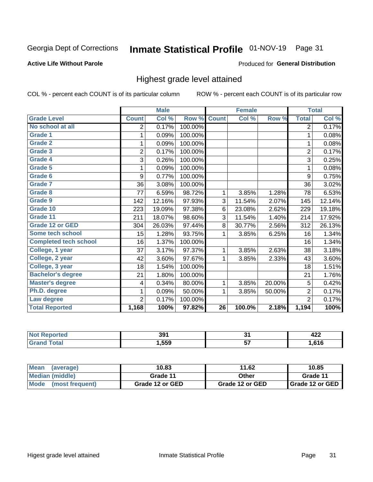## Inmate Statistical Profile 01-NOV-19 Page 31

#### **Active Life Without Parole**

#### Produced for General Distribution

### Highest grade level attained

COL % - percent each COUNT is of its particular column

|                              |                | <b>Male</b> |         |                 | <b>Female</b> |        |                | <b>Total</b> |
|------------------------------|----------------|-------------|---------|-----------------|---------------|--------|----------------|--------------|
| <b>Grade Level</b>           | <b>Count</b>   | Col %       | Row %   | <b>Count</b>    | Col %         | Row %  | <b>Total</b>   | Col %        |
| No school at all             | 2              | 0.17%       | 100.00% |                 |               |        | 2              | 0.17%        |
| <b>Grade 1</b>               | 1              | 0.09%       | 100.00% |                 |               |        | 1              | 0.08%        |
| <b>Grade 2</b>               | 1              | 0.09%       | 100.00% |                 |               |        | 1              | 0.08%        |
| <b>Grade 3</b>               | $\overline{c}$ | 0.17%       | 100.00% |                 |               |        | $\overline{c}$ | 0.17%        |
| <b>Grade 4</b>               | 3              | 0.26%       | 100.00% |                 |               |        | 3              | 0.25%        |
| Grade 5                      | 1              | 0.09%       | 100.00% |                 |               |        | 1              | 0.08%        |
| Grade 6                      | 9              | 0.77%       | 100.00% |                 |               |        | 9              | 0.75%        |
| Grade 7                      | 36             | 3.08%       | 100.00% |                 |               |        | 36             | 3.02%        |
| <b>Grade 8</b>               | 77             | 6.59%       | 98.72%  | 1               | 3.85%         | 1.28%  | 78             | 6.53%        |
| Grade 9                      | 142            | 12.16%      | 97.93%  | 3               | 11.54%        | 2.07%  | 145            | 12.14%       |
| Grade 10                     | 223            | 19.09%      | 97.38%  | 6               | 23.08%        | 2.62%  | 229            | 19.18%       |
| Grade 11                     | 211            | 18.07%      | 98.60%  | 3               | 11.54%        | 1.40%  | 214            | 17.92%       |
| <b>Grade 12 or GED</b>       | 304            | 26.03%      | 97.44%  | 8               | 30.77%        | 2.56%  | 312            | 26.13%       |
| Some tech school             | 15             | 1.28%       | 93.75%  | 1               | 3.85%         | 6.25%  | 16             | 1.34%        |
| <b>Completed tech school</b> | 16             | 1.37%       | 100.00% |                 |               |        | 16             | 1.34%        |
| College, 1 year              | 37             | 3.17%       | 97.37%  | 1               | 3.85%         | 2.63%  | 38             | 3.18%        |
| College, 2 year              | 42             | 3.60%       | 97.67%  | 1               | 3.85%         | 2.33%  | 43             | 3.60%        |
| College, 3 year              | 18             | 1.54%       | 100.00% |                 |               |        | 18             | 1.51%        |
| <b>Bachelor's degree</b>     | 21             | 1.80%       | 100.00% |                 |               |        | 21             | 1.76%        |
| <b>Master's degree</b>       | 4              | 0.34%       | 80.00%  | 1               | 3.85%         | 20.00% | 5              | 0.42%        |
| Ph.D. degree                 | 1              | 0.09%       | 50.00%  | 1               | 3.85%         | 50.00% | 2              | 0.17%        |
| Law degree                   | $\overline{2}$ | 0.17%       | 100.00% |                 |               |        | $\overline{2}$ | 0.17%        |
| <b>Total Reported</b>        | 1,168          | 100%        | 97.82%  | $\overline{26}$ | 100.0%        | 2.18%  | 1,194          | 100%         |

| rteo<br>NO | 39۰   | $\bullet$ | <br>744 |
|------------|-------|-----------|---------|
| Utal       | 1,559 | v.        | .616    |

| Mean<br>(average)       | 10.83           | 11.62           | 10.85           |
|-------------------------|-----------------|-----------------|-----------------|
| Median (middle)         | Grade 11        | Other           | Grade 11        |
| Mode<br>(most frequent) | Grade 12 or GED | Grade 12 or GED | Grade 12 or GED |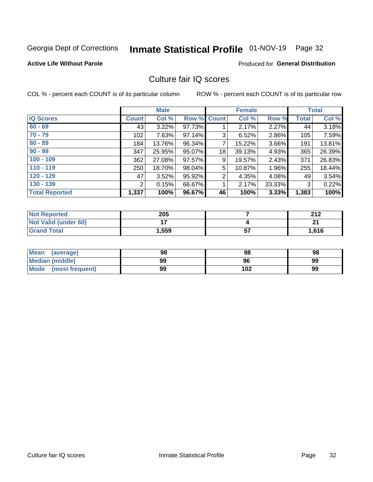## Inmate Statistical Profile 01-NOV-19 Page 32

#### **Active Life Without Parole**

#### Produced for General Distribution

### Culture fair IQ scores

COL % - percent each COUNT is of its particular column

|                       |              | <b>Male</b> |             |                | <b>Female</b> |          |              | <b>Total</b> |
|-----------------------|--------------|-------------|-------------|----------------|---------------|----------|--------------|--------------|
| <b>IQ Scores</b>      | <b>Count</b> | Col %       | Row % Count |                | Col %         | Row %    | <b>Total</b> | Col %        |
| $60 - 69$             | 43           | 3.22%       | 97.73%      |                | 2.17%         | $2.27\%$ | 44           | 3.18%        |
| $70 - 79$             | 102          | 7.63%       | 97.14%      | 3              | 6.52%         | 2.86%    | 105          | 7.59%        |
| $80 - 89$             | 184          | 13.76%      | 96.34%      | 7              | 15.22%        | 3.66%    | 191          | 13.81%       |
| $90 - 99$             | 347          | 25.95%      | 95.07%      | 18             | 39.13%        | 4.93%    | 365          | 26.39%       |
| $100 - 109$           | 362          | 27.08%      | 97.57%      | 9              | 19.57%        | 2.43%    | 371          | 26.83%       |
| $110 - 119$           | 250          | 18.70%      | 98.04%      | 5              | 10.87%        | 1.96%    | 255          | 18.44%       |
| $120 - 129$           | 47           | 3.52%       | 95.92%      | $\overline{2}$ | 4.35%         | 4.08%    | 49           | 3.54%        |
| $130 - 139$           | 2            | 0.15%       | 66.67%      | 1              | 2.17%         | 33.33%   | 3            | 0.22%        |
| <b>Total Reported</b> | 1,337        | 100%        | 96.67%      | 46             | 100%          | 3.33%    | 1,383        | 100%         |

| <b>Not Reported</b>         | 205            |           | 242<br>∠∣∠ |
|-----------------------------|----------------|-----------|------------|
| <b>Not Valid (under 60)</b> | $\blacksquare$ |           | n,         |
| <b>Grand Total</b>          | 1,559          | --<br>IJ, | 1,616      |

| <b>Mean</b><br>(average) | 98 | 98  | 98 |
|--------------------------|----|-----|----|
| Median (middle)          | 99 | 96  | 99 |
| Mode (most frequent)     | 99 | 102 | 99 |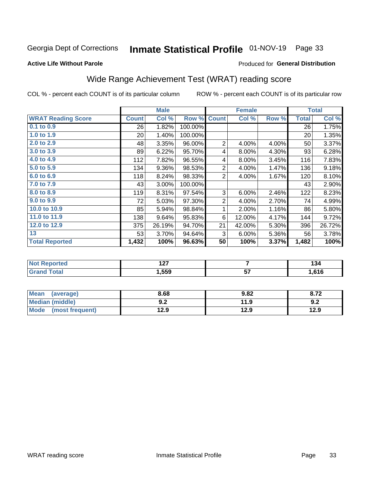## Inmate Statistical Profile 01-NOV-19 Page 33

#### **Active Life Without Parole**

#### Produced for General Distribution

## Wide Range Achievement Test (WRAT) reading score

COL % - percent each COUNT is of its particular column

|                           |              | <b>Male</b> |         | <b>Female</b>  |                |       | <b>Total</b> |        |
|---------------------------|--------------|-------------|---------|----------------|----------------|-------|--------------|--------|
| <b>WRAT Reading Score</b> | <b>Count</b> | Col %       | Row %   | <b>Count</b>   | Col %          | Row % | <b>Total</b> | Col %  |
| $0.1$ to $0.9$            | 26           | 1.82%       | 100.00% |                |                |       | 26           | 1.75%  |
| 1.0 to 1.9                | 20           | 1.40%       | 100.00% |                |                |       | 20           | 1.35%  |
| 2.0 to 2.9                | 48           | 3.35%       | 96.00%  | 2              | 4.00%          | 4.00% | 50           | 3.37%  |
| 3.0 to 3.9                | 89           | 6.22%       | 95.70%  | 4              | 8.00%          | 4.30% | 93           | 6.28%  |
| 4.0 to 4.9                | 112          | 7.82%       | 96.55%  | 4              | 8.00%          | 3.45% | 116          | 7.83%  |
| 5.0 to 5.9                | 134          | 9.36%       | 98.53%  | $\overline{2}$ | 4.00%          | 1.47% | 136          | 9.18%  |
| 6.0 to 6.9                | 118          | 8.24%       | 98.33%  | 2              | 4.00%          | 1.67% | 120          | 8.10%  |
| 7.0 to 7.9                | 43           | 3.00%       | 100.00% |                |                |       | 43           | 2.90%  |
| 8.0 to 8.9                | 119          | 8.31%       | 97.54%  | 3              | 6.00%          | 2.46% | 122          | 8.23%  |
| 9.0 to 9.9                | 72           | 5.03%       | 97.30%  | $\overline{2}$ | 4.00%          | 2.70% | 74           | 4.99%  |
| 10.0 to 10.9              | 85           | 5.94%       | 98.84%  | 1              | 2.00%          | 1.16% | 86           | 5.80%  |
| 11.0 to 11.9              | 138          | 9.64%       | 95.83%  | 6              | 12.00%         | 4.17% | 144          | 9.72%  |
| 12.0 to 12.9              | 375          | 26.19%      | 94.70%  | 21             | 42.00%         | 5.30% | 396          | 26.72% |
| 13                        | 53           | 3.70%       | 94.64%  | 3              | 6.00%          | 5.36% | 56           | 3.78%  |
| <b>Total Reported</b>     | 1,432        | 100%        | 96.63%  | 50             | 100%           | 3.37% | 1,482        | 100%   |
|                           |              |             |         |                |                |       |              |        |
| Not Poportod              |              | 107         |         |                | $\overline{ }$ |       |              | 121    |

| онео | ---<br><u>.</u> |         | -יטו |
|------|-----------------|---------|------|
|      | ,559            | --<br>ັ | ,616 |
|      |                 |         |      |

| <b>Mean</b><br>(average) | 8.68       | 9.82 | 8.72 |
|--------------------------|------------|------|------|
| Median (middle)          | י ה<br>J.Z | 11.9 | 9.2  |
| Mode<br>(most frequent)  | 12.9       | 12.9 | 12.9 |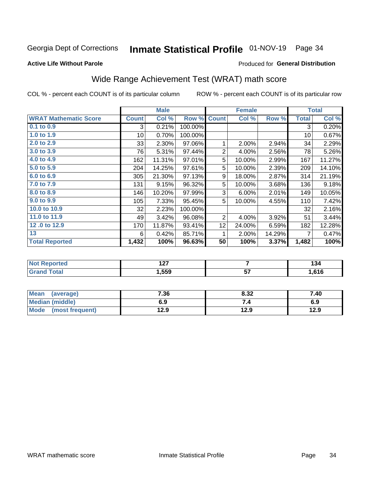## Inmate Statistical Profile 01-NOV-19 Page 34

#### **Active Life Without Parole**

#### Produced for General Distribution

## Wide Range Achievement Test (WRAT) math score

COL % - percent each COUNT is of its particular column

|                                   |              | <b>Male</b>          |         | <b>Female</b>  |        |        | <b>Total</b> |                      |
|-----------------------------------|--------------|----------------------|---------|----------------|--------|--------|--------------|----------------------|
| <b>WRAT Mathematic Score</b>      | <b>Count</b> | Col %                | Row %   | <b>Count</b>   | Col %  | Row %  | <b>Total</b> | Col %                |
| $0.1$ to $0.9$                    | 3            | 0.21%                | 100.00% |                |        |        | 3            | 0.20%                |
| 1.0 to 1.9                        | 10           | 0.70%                | 100.00% |                |        |        | 10           | 0.67%                |
| 2.0 to 2.9                        | 33           | 2.30%                | 97.06%  | 1              | 2.00%  | 2.94%  | 34           | 2.29%                |
| 3.0 to 3.9                        | 76           | 5.31%                | 97.44%  | $\mathbf 2$    | 4.00%  | 2.56%  | 78           | 5.26%                |
| 4.0 to 4.9                        | 162          | 11.31%               | 97.01%  | 5              | 10.00% | 2.99%  | 167          | 11.27%               |
| 5.0 to 5.9                        | 204          | 14.25%               | 97.61%  | 5              | 10.00% | 2.39%  | 209          | 14.10%               |
| 6.0 to 6.9                        | 305          | 21.30%               | 97.13%  | 9              | 18.00% | 2.87%  | 314          | 21.19%               |
| 7.0 to 7.9                        | 131          | 9.15%                | 96.32%  | 5              | 10.00% | 3.68%  | 136          | 9.18%                |
| 8.0 to 8.9                        | 146          | 10.20%               | 97.99%  | 3              | 6.00%  | 2.01%  | 149          | 10.05%               |
| 9.0 to 9.9                        | 105          | 7.33%                | 95.45%  | 5              | 10.00% | 4.55%  | 110          | 7.42%                |
| 10.0 to 10.9                      | 32           | 2.23%                | 100.00% |                |        |        | 32           | 2.16%                |
| 11.0 to 11.9                      | 49           | 3.42%                | 96.08%  | $\overline{2}$ | 4.00%  | 3.92%  | 51           | 3.44%                |
| 12.0 to 12.9                      | 170          | 11.87%               | 93.41%  | 12             | 24.00% | 6.59%  | 182          | 12.28%               |
| 13                                | 6            | 0.42%                | 85.71%  | 1              | 2.00%  | 14.29% | 7            | 0.47%                |
| <b>Total Reported</b>             | 1,432        | 100%                 | 96.63%  | 50             | 100%   | 3.37%  | 1,482        | 100%                 |
|                                   |              |                      |         |                |        |        |              |                      |
| <b>Contract Contract Contract</b> |              | $\sim$ $\sim$ $\sim$ |         |                |        |        |              | $\sim$ $\sim$ $\sim$ |

| .             | $\sim$<br>$\sim$ |          | . .<br>דט ו |
|---------------|------------------|----------|-------------|
| υιαι<br>----- | .559             | --<br>יש | 61 C        |

| Mean<br>(average)              | 7.36 | 8.32 | 7.40 |
|--------------------------------|------|------|------|
| <b>Median (middle)</b>         | 6.9  | -4   | 6.9  |
| <b>Mode</b><br>(most frequent) | 12.9 | 12.9 | 12.9 |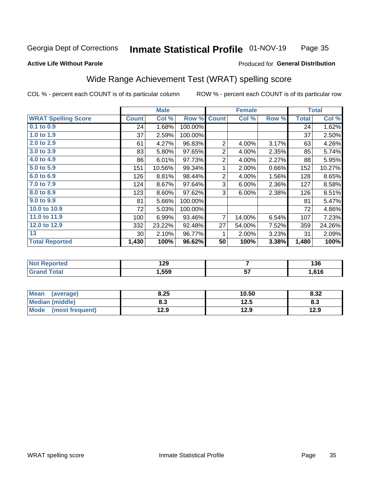#### **Inmate Statistical Profile 01-NOV-19** Page 35

#### **Active Life Without Parole**

#### Produced for General Distribution

## Wide Range Achievement Test (WRAT) spelling score

COL % - percent each COUNT is of its particular column

|                            |                 | <b>Male</b> |         | <b>Female</b>  |        |       | <b>Total</b> |        |
|----------------------------|-----------------|-------------|---------|----------------|--------|-------|--------------|--------|
| <b>WRAT Spelling Score</b> | <b>Count</b>    | Col %       | Row %   | <b>Count</b>   | Col %  | Row % | <b>Total</b> | Col %  |
| $0.1$ to $0.9$             | 24              | 1.68%       | 100.00% |                |        |       | 24           | 1.62%  |
| 1.0 to 1.9                 | 37              | 2.59%       | 100.00% |                |        |       | 37           | 2.50%  |
| 2.0 to 2.9                 | 61              | 4.27%       | 96.83%  | $\overline{2}$ | 4.00%  | 3.17% | 63           | 4.26%  |
| 3.0 to 3.9                 | 83              | 5.80%       | 97.65%  | $\overline{2}$ | 4.00%  | 2.35% | 85           | 5.74%  |
| 4.0 to 4.9                 | 86              | 6.01%       | 97.73%  | $\overline{2}$ | 4.00%  | 2.27% | 88           | 5.95%  |
| 5.0 to 5.9                 | 151             | 10.56%      | 99.34%  | 1              | 2.00%  | 0.66% | 152          | 10.27% |
| 6.0 to 6.9                 | 126             | 8.81%       | 98.44%  | $\overline{2}$ | 4.00%  | 1.56% | 128          | 8.65%  |
| 7.0 to 7.9                 | 124             | 8.67%       | 97.64%  | 3              | 6.00%  | 2.36% | 127          | 8.58%  |
| 8.0 to 8.9                 | 123             | 8.60%       | 97.62%  | 3              | 6.00%  | 2.38% | 126          | 8.51%  |
| 9.0 to 9.9                 | 81              | 5.66%       | 100.00% |                |        |       | 81           | 5.47%  |
| 10.0 to 10.9               | 72              | 5.03%       | 100.00% |                |        |       | 72           | 4.86%  |
| 11.0 to 11.9               | 100             | 6.99%       | 93.46%  | 7              | 14.00% | 6.54% | 107          | 7.23%  |
| 12.0 to 12.9               | 332             | 23.22%      | 92.48%  | 27             | 54.00% | 7.52% | 359          | 24.26% |
| 13                         | 30 <sup>°</sup> | 2.10%       | 96.77%  | 1              | 2.00%  | 3.23% | 31           | 2.09%  |
| <b>Total Reported</b>      | 1,430           | 100%        | 96.62%  | 50             | 100%   | 3.38% | 1,480        | 100%   |
|                            |                 |             |         |                |        |       |              |        |
| <b>Not Reported</b>        |                 | 129         |         |                | 7      |       |              | 136    |

| $\blacksquare$ | $- -$ |    | .    |
|----------------|-------|----|------|
|                | 1,559 | -- | .616 |
|                |       |    |      |

| Mean<br>(average)       | 8.25 | 10.50 | 8.32 |
|-------------------------|------|-------|------|
| Median (middle)         | 8.3  | 12.5  | ი.ა  |
| Mode<br>(most frequent) | 12.9 | 12.9  | 12.9 |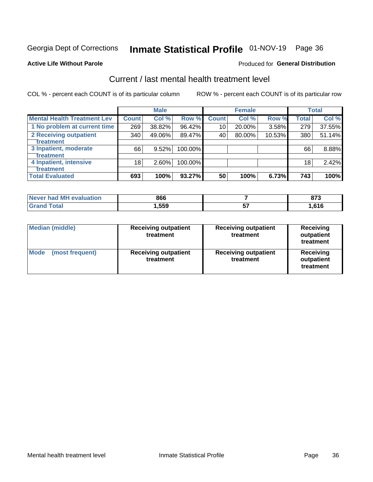## Inmate Statistical Profile 01-NOV-19 Page 36

#### **Active Life Without Parole**

#### **Produced for General Distribution**

## Current / last mental health treatment level

COL % - percent each COUNT is of its particular column

|                                    |              | <b>Male</b> |         |              | <b>Female</b> |        |                 | <b>Total</b> |
|------------------------------------|--------------|-------------|---------|--------------|---------------|--------|-----------------|--------------|
| <b>Mental Health Treatment Lev</b> | <b>Count</b> | Col %       | Row %   | <b>Count</b> | Col %         | Row %  | <b>Total</b>    | Col %        |
| 1 No problem at current time       | 269          | 38.82%      | 96.42%  | 10           | 20.00%        | 3.58%  | 279             | 37.55%       |
| 2 Receiving outpatient             | 340          | 49.06%      | 89.47%  | 40           | 80.00%        | 10.53% | 380             | 51.14%       |
| <b>Treatment</b>                   |              |             |         |              |               |        |                 |              |
| 3 Inpatient, moderate              | 66           | 9.52%       | 100.00% |              |               |        | 66              | 8.88%        |
| <b>Treatment</b>                   |              |             |         |              |               |        |                 |              |
| 4 Inpatient, intensive             | 18           | $2.60\%$    | 100.00% |              |               |        | 18 <sub>1</sub> | 2.42%        |
| <b>Treatment</b>                   |              |             |         |              |               |        |                 |              |
| <b>Total Evaluated</b>             | 693          | 100%        | 93.27%  | 50           | 100%          | 6.73%  | 743             | 100%         |

| Never had MH evaluation | 866   | 0.7<br>. . |
|-------------------------|-------|------------|
| Total                   | 559،، | .616       |

| <b>Median (middle)</b>         | <b>Receiving outpatient</b><br>treatment | <b>Receiving outpatient</b><br>treatment | <b>Receiving</b><br>outpatient<br>treatment |  |
|--------------------------------|------------------------------------------|------------------------------------------|---------------------------------------------|--|
| <b>Mode</b><br>(most frequent) | <b>Receiving outpatient</b><br>treatment | <b>Receiving outpatient</b><br>treatment | <b>Receiving</b><br>outpatient<br>treatment |  |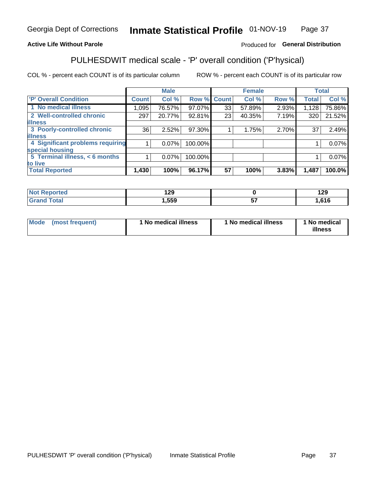#### Inmate Statistical Profile 01-NOV-19 Page 37

#### **Active Life Without Parole**

#### Produced for General Distribution

## PULHESDWIT medical scale - 'P' overall condition ('P'hysical)

COL % - percent each COUNT is of its particular column

|                                  |         | <b>Male</b> |         |                    | <b>Female</b> |       |              | <b>Total</b> |
|----------------------------------|---------|-------------|---------|--------------------|---------------|-------|--------------|--------------|
| 'P' Overall Condition            | Count l | Col %       |         | <b>Row % Count</b> | Col %         | Row % | <b>Total</b> | Col %        |
| 1 No medical illness             | 1.095   | 76.57%      | 97.07%  | 33                 | 57.89%        | 2.93% | 1,128        | 75.86%       |
| 2 Well-controlled chronic        | 297     | 20.77%      | 92.81%  | 23                 | 40.35%        | 7.19% | 320          | 21.52%       |
| <b>illness</b>                   |         |             |         |                    |               |       |              |              |
| 3 Poorly-controlled chronic      | 36      | 2.52%       | 97.30%  |                    | 1.75%         | 2.70% | 37           | 2.49%        |
| <b>illness</b>                   |         |             |         |                    |               |       |              |              |
| 4 Significant problems requiring |         | $0.07\%$    | 100.00% |                    |               |       |              | 0.07%        |
| special housing                  |         |             |         |                    |               |       |              |              |
| 5 Terminal illness, < 6 months   |         | $0.07\%$    | 100.00% |                    |               |       |              | 0.07%        |
| to live                          |         |             |         |                    |               |       |              |              |
| <b>Total Reported</b>            | 1,430   | 100%        | 96.17%  | 57                 | 100%          | 3.83% | 1,487        | 100.0%       |

| rtea           | חר ו         |    | 1 20  |
|----------------|--------------|----|-------|
| ⋯              | . <i>.</i> . |    | 1 L J |
| $-4-$<br>_____ | 559, ا       | -- | ,616  |

|  |  | Mode (most frequent) | 1 No medical illness | 1 No medical illness | 1 No medical<br>illness |
|--|--|----------------------|----------------------|----------------------|-------------------------|
|--|--|----------------------|----------------------|----------------------|-------------------------|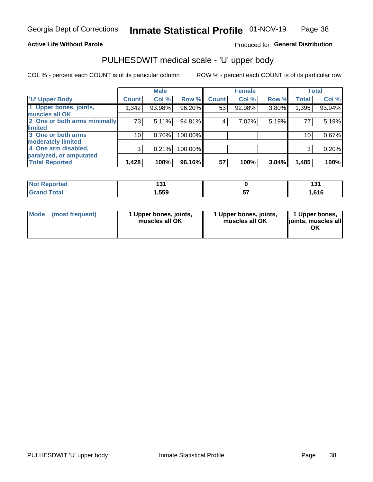#### **Active Life Without Parole**

#### Produced for General Distribution

## PULHESDWIT medical scale - 'U' upper body

COL % - percent each COUNT is of its particular column

|                              |              | <b>Male</b> |         |              | <b>Female</b> |       |              | <b>Total</b> |
|------------------------------|--------------|-------------|---------|--------------|---------------|-------|--------------|--------------|
| <b>'U' Upper Body</b>        | <b>Count</b> | Col %       | Row %   | <b>Count</b> | Col %         | Row % | <b>Total</b> | Col %        |
| 1 Upper bones, joints,       | 1,342        | 93.98%      | 96.20%  | 53           | 92.98%        | 3.80% | 1,395        | 93.94%       |
| muscles all OK               |              |             |         |              |               |       |              |              |
| 2 One or both arms minimally | 73           | 5.11%       | 94.81%  | 4            | 7.02%         | 5.19% | 77           | 5.19%        |
| <b>limited</b>               |              |             |         |              |               |       |              |              |
| 3 One or both arms           | 10           | 0.70%       | 100.00% |              |               |       | 10           | 0.67%        |
| <b>moderately limited</b>    |              |             |         |              |               |       |              |              |
| 4 One arm disabled,          | 3            | 0.21%       | 100.00% |              |               |       | 3            | 0.20%        |
| paralyzed, or amputated      |              |             |         |              |               |       |              |              |
| <b>Total Reported</b>        | 1,428        | 100%        | 96.16%  | 57           | 100%          | 3.84% | 1,485        | 100%         |

| <b>Not Reported</b> | ישו  | 40.  |
|---------------------|------|------|
| <b>Grand Total</b>  | ,559 | .616 |

| Mode | (most frequent) | 1 Upper bones, joints,<br>muscles all OK | 1 Upper bones, joints,<br>muscles all OK | 1 Upper bones,<br>ljoints, muscles all<br>OK |
|------|-----------------|------------------------------------------|------------------------------------------|----------------------------------------------|
|------|-----------------|------------------------------------------|------------------------------------------|----------------------------------------------|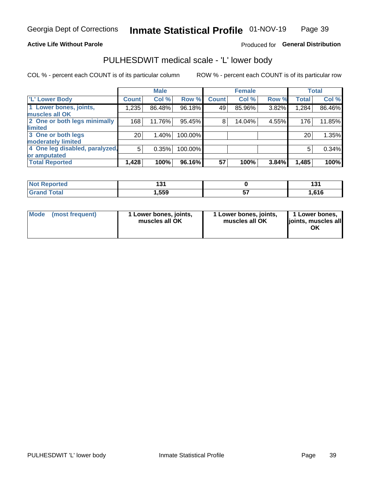#### **Active Life Without Parole**

#### Produced for General Distribution

### PULHESDWIT medical scale - 'L' lower body

COL % - percent each COUNT is of its particular column

|                                |              | <b>Male</b> |         |              | <b>Female</b> |       |              | <b>Total</b> |
|--------------------------------|--------------|-------------|---------|--------------|---------------|-------|--------------|--------------|
| 'L' Lower Body                 | <b>Count</b> | Col %       | Row %   | <b>Count</b> | Col %         | Row % | <b>Total</b> | Col %        |
| 1 Lower bones, joints,         | 1,235        | 86.48%      | 96.18%  | 49           | 85.96%        | 3.82% | 1,284        | 86.46%       |
| muscles all OK                 |              |             |         |              |               |       |              |              |
| 2 One or both legs minimally   | 168          | 11.76%      | 95.45%  | 8            | 14.04%        | 4.55% | 176          | 11.85%       |
| limited                        |              |             |         |              |               |       |              |              |
| 3 One or both legs             | 20           | 1.40%       | 100.00% |              |               |       | 20           | 1.35%        |
| moderately limited             |              |             |         |              |               |       |              |              |
| 4 One leg disabled, paralyzed, | 5            | 0.35%       | 100.00% |              |               |       | 5            | 0.34%        |
| or amputated                   |              |             |         |              |               |       |              |              |
| <b>Total Reported</b>          | 1,428        | 100%        | 96.16%  | 57           | 100%          | 3.84% | 1,485        | 100%         |

| <b>Not Reported</b> | ישו  | 40.  |
|---------------------|------|------|
| <b>Grand Total</b>  | ,559 | .616 |

| Mode | (most frequent) | 1 Lower bones, joints,<br>muscles all OK | 1 Lower bones, joints,<br>muscles all OK | 1 Lower bones,<br>ljoints, muscles all<br>ΟK |
|------|-----------------|------------------------------------------|------------------------------------------|----------------------------------------------|
|------|-----------------|------------------------------------------|------------------------------------------|----------------------------------------------|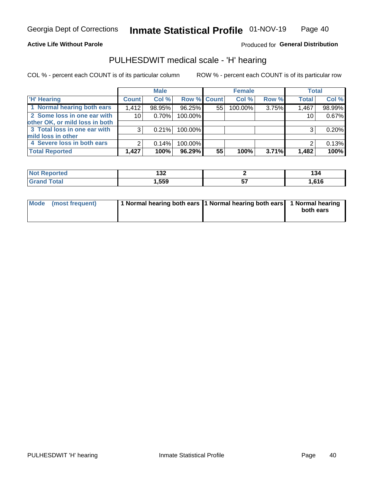#### **Active Life Without Parole**

Produced for General Distribution

### PULHESDWIT medical scale - 'H' hearing

COL % - percent each COUNT is of its particular column

|                                |              | <b>Male</b> |             |    | <b>Female</b> |       | <b>Total</b> |        |
|--------------------------------|--------------|-------------|-------------|----|---------------|-------|--------------|--------|
| <b>H' Hearing</b>              | <b>Count</b> | Col %       | Row % Count |    | Col %         | Row % | <b>Total</b> | Col %  |
| 1 Normal hearing both ears     | 1,412        | 98.95%      | 96.25%      | 55 | 100.00%       | 3.75% | 1,467        | 98.99% |
| 2 Some loss in one ear with    | 10           | 0.70%       | 100.00%     |    |               |       | 10           | 0.67%  |
| other OK, or mild loss in both |              |             |             |    |               |       |              |        |
| 3 Total loss in one ear with   | 3            | 0.21%       | 100.00%     |    |               |       | 3            | 0.20%  |
| mild loss in other             |              |             |             |    |               |       |              |        |
| 4 Severe loss in both ears     | 2            | 0.14%       | 100.00%     |    |               |       | ⌒            | 0.13%  |
| <b>Total Reported</b>          | 1,427        | 100%        | 96.29%      | 55 | 100%          | 3.71% | 1,482        | 100%   |

| ported<br><b>NOT</b> | .<br>7∪⊾ |            | 134 |
|----------------------|----------|------------|-----|
| $\sim$<br>______     | ,559     | . .<br>. . | 616 |

| Mode (most frequent) | 1 Normal hearing both ears 1 Normal hearing both ears 1 Normal hearing | both ears |
|----------------------|------------------------------------------------------------------------|-----------|
|                      |                                                                        |           |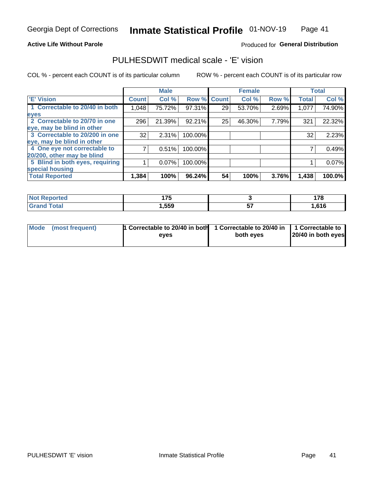#### **Active Life Without Parole**

#### Produced for General Distribution

### PULHESDWIT medical scale - 'E' vision

COL % - percent each COUNT is of its particular column

|                                 |              | <b>Male</b> |         |              | <b>Female</b> |       |              | <b>Total</b> |
|---------------------------------|--------------|-------------|---------|--------------|---------------|-------|--------------|--------------|
| <b>E' Vision</b>                | <b>Count</b> | Col %       | Row %   | <b>Count</b> | Col %         | Row % | <b>Total</b> | Col %        |
| 1 Correctable to 20/40 in both  | 1,048        | 75.72%      | 97.31%  | 29           | 53.70%        | 2.69% | 1,077        | 74.90%       |
| eyes                            |              |             |         |              |               |       |              |              |
| 2 Correctable to 20/70 in one   | 296          | 21.39%      | 92.21%  | 25           | 46.30%        | 7.79% | 321          | 22.32%       |
| eye, may be blind in other      |              |             |         |              |               |       |              |              |
| 3 Correctable to 20/200 in one  | 32           | 2.31%       | 100.00% |              |               |       | 32           | 2.23%        |
| eye, may be blind in other      |              |             |         |              |               |       |              |              |
| 4 One eye not correctable to    |              | 0.51%       | 100.00% |              |               |       |              | 0.49%        |
| 20/200, other may be blind      |              |             |         |              |               |       |              |              |
| 5 Blind in both eyes, requiring |              | 0.07%       | 100.00% |              |               |       |              | 0.07%        |
| special housing                 |              |             |         |              |               |       |              |              |
| <b>Total Reported</b>           | 1,384        | 100%        | 96.24%  | 54           | 100%          | 3.76% | 1,438        | 100.0%       |

| <b>orted</b><br>NO | 4 7 E<br>. |          | 170  |
|--------------------|------------|----------|------|
| $F0+0$             | ,559       | --<br>v. | ,616 |

| Mode (most frequent) | 1 Correctable to 20/40 in both<br>eves | 1 Correctable to 20/40 in   1 Correctable to  <br>both eves | 20/40 in both eyes |
|----------------------|----------------------------------------|-------------------------------------------------------------|--------------------|
|                      |                                        |                                                             |                    |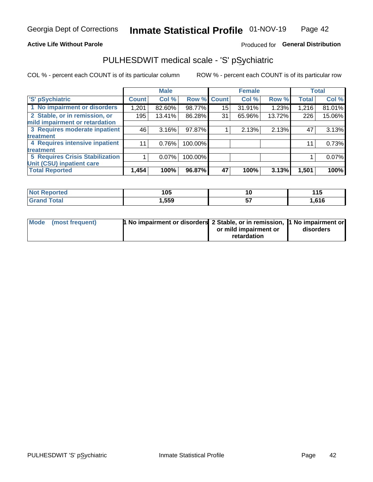#### **Active Life Without Parole**

#### Produced for General Distribution

## PULHESDWIT medical scale - 'S' pSychiatric

COL % - percent each COUNT is of its particular column

|                                        |              | <b>Male</b> |         |             | <b>Female</b> |        |              | <b>Total</b> |
|----------------------------------------|--------------|-------------|---------|-------------|---------------|--------|--------------|--------------|
| 'S' pSychiatric                        | <b>Count</b> | Col %       |         | Row % Count | Col %         | Row %  | <b>Total</b> | Col %        |
| 1 No impairment or disorders           | 1,201        | 82.60%      | 98.77%  | 15          | 31.91%        | 1.23%  | 1,216        | 81.01%       |
| 2 Stable, or in remission, or          | 195          | 13.41%      | 86.28%  | 31          | 65.96%        | 13.72% | 226          | 15.06%       |
| mild impairment or retardation         |              |             |         |             |               |        |              |              |
| 3 Requires moderate inpatient          | 46           | 3.16%       | 97.87%  |             | 2.13%         | 2.13%  | 47           | 3.13%        |
| treatment                              |              |             |         |             |               |        |              |              |
| 4 Requires intensive inpatient         | 11           | 0.76%       | 100.00% |             |               |        | 11           | 0.73%        |
| treatment                              |              |             |         |             |               |        |              |              |
| <b>5 Requires Crisis Stabilization</b> |              | $0.07\%$    | 100.00% |             |               |        |              | 0.07%        |
| Unit (CSU) inpatient care              |              |             |         |             |               |        |              |              |
| <b>Total Reported</b>                  | 1,454        | 100%        | 96.87%  | 47          | 100%          | 3.13%  | 1,501        | 100%         |

| <b>Not Reported</b>          | 105  | ιu       | 115   |
|------------------------------|------|----------|-------|
| <b>Total</b><br><b>Grand</b> | ,559 | --<br>J, | .616، |

| Mode (most frequent) | <b>1 No impairment or disorders</b> 2 Stable, or in remission, 11 No impairment or |                       |           |
|----------------------|------------------------------------------------------------------------------------|-----------------------|-----------|
|                      |                                                                                    | or mild impairment or | disorders |
|                      |                                                                                    | retardation           |           |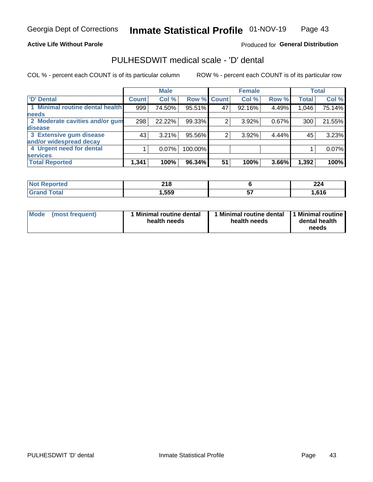#### **Active Life Without Parole**

#### Produced for General Distribution

## PULHESDWIT medical scale - 'D' dental

COL % - percent each COUNT is of its particular column

|                                 |              | <b>Male</b> |         |              | <b>Female</b> |       |              | <b>Total</b> |
|---------------------------------|--------------|-------------|---------|--------------|---------------|-------|--------------|--------------|
| <b>D'</b> Dental                | <b>Count</b> | Col %       | Row %   | <b>Count</b> | Col %         | Row % | <b>Total</b> | Col %        |
| 1 Minimal routine dental health | 999          | 74.50%      | 95.51%  | 47           | 92.16%        | 4.49% | 1,046        | 75.14%       |
| <b>needs</b>                    |              |             |         |              |               |       |              |              |
| 2 Moderate cavities and/or gum  | 298          | 22.22%      | 99.33%  |              | 3.92%         | 0.67% | 300          | 21.55%       |
| disease                         |              |             |         |              |               |       |              |              |
| 3 Extensive gum disease         | 43           | 3.21%       | 95.56%  | 2            | 3.92%         | 4.44% | 45           | 3.23%        |
| and/or widespread decay         |              |             |         |              |               |       |              |              |
| 4 Urgent need for dental        |              | $0.07\%$    | 100.00% |              |               |       |              | 0.07%        |
| <b>services</b>                 |              |             |         |              |               |       |              |              |
| <b>Total Reported</b>           | 1,341        | 100%        | 96.34%  | 51           | 100%          | 3.66% | 1,392        | 100%         |

| <b>Not Reported</b><br>$\sim$ | 24C<br>ZI O |                | 224        |
|-------------------------------|-------------|----------------|------------|
| Total                         | ,559        | --<br><u>J</u> | <b>616</b> |

| <b>Mode</b> | (most frequent) | <b>Minimal routine dental</b><br>health needs | 1 Minimal routine dental   1 Minimal routine  <br>health needs | dental health<br>needs |
|-------------|-----------------|-----------------------------------------------|----------------------------------------------------------------|------------------------|
|-------------|-----------------|-----------------------------------------------|----------------------------------------------------------------|------------------------|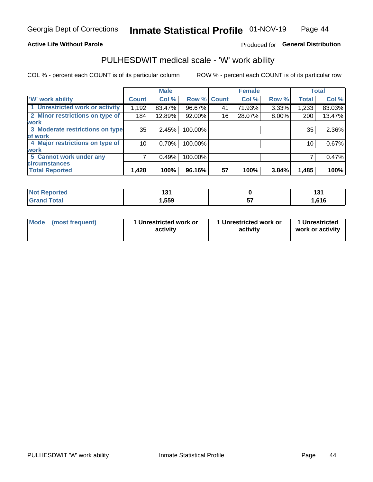#### **Active Life Without Parole**

#### Produced for General Distribution

### PULHESDWIT medical scale - 'W' work ability

COL % - percent each COUNT is of its particular column

|                                 |              | <b>Male</b> |         |             | <b>Female</b> |       |              | <b>Total</b> |
|---------------------------------|--------------|-------------|---------|-------------|---------------|-------|--------------|--------------|
| <b>W' work ability</b>          | <b>Count</b> | Col %       |         | Row % Count | Col %         | Row % | <b>Total</b> | Col %        |
| 1 Unrestricted work or activity | 1,192        | 83.47%      | 96.67%  | 41          | 71.93%        | 3.33% | 1,233        | 83.03%       |
| 2 Minor restrictions on type of | 184          | 12.89%      | 92.00%  | 16          | 28.07%        | 8.00% | 200          | 13.47%       |
| <b>work</b>                     |              |             |         |             |               |       |              |              |
| 3 Moderate restrictions on type | 35           | 2.45%       | 100.00% |             |               |       | 35           | 2.36%        |
| lof work                        |              |             |         |             |               |       |              |              |
| 4 Major restrictions on type of | 10           | 0.70%       | 100.00% |             |               |       | 10           | 0.67%        |
| <b>work</b>                     |              |             |         |             |               |       |              |              |
| 5 Cannot work under any         |              | 0.49%       | 100.00% |             |               |       |              | 0.47%        |
| <b>circumstances</b>            |              |             |         |             |               |       |              |              |
| <b>Total Reported</b>           | 1,428        | 100%        | 96.16%  | 57          | 100%          | 3.84% | 1,485        | 100%         |

| <b>Reported</b><br><b>NOT</b> | 194<br>וטו |          | . .<br>1 J I |
|-------------------------------|------------|----------|--------------|
| <b>Total</b><br>Cror          | ,559       | --<br>J1 | .616         |

| Mode            | 1 Unrestricted work or | 1 Unrestricted work or | 1 Unrestricted   |
|-----------------|------------------------|------------------------|------------------|
| (most frequent) | activity               | activity               | work or activity |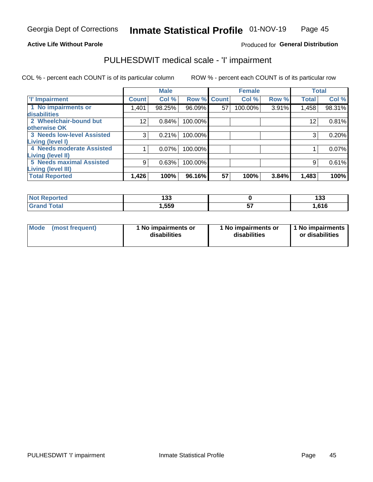#### **Active Life Without Parole**

#### Produced for General Distribution

## PULHESDWIT medical scale - 'I' impairment

COL % - percent each COUNT is of its particular column ROW % - percent each COUNT is of its particular row

|                                   |              | <b>Male</b> |             |    | <b>Female</b> |       | <b>Total</b> |        |
|-----------------------------------|--------------|-------------|-------------|----|---------------|-------|--------------|--------|
| <b>T' Impairment</b>              | <b>Count</b> | Col %       | Row % Count |    | Col %         | Row % | <b>Total</b> | Col %  |
| 1 No impairments or               | 401. ا       | 98.25%      | 96.09%      | 57 | 100.00%       | 3.91% | 1,458        | 98.31% |
| disabilities                      |              |             |             |    |               |       |              |        |
| 2 Wheelchair-bound but            | 12           | 0.84%       | 100.00%     |    |               |       | 12           | 0.81%  |
| otherwise OK                      |              |             |             |    |               |       |              |        |
| <b>3 Needs low-level Assisted</b> | 3            | 0.21%       | 100.00%     |    |               |       | 3            | 0.20%  |
| Living (level I)                  |              |             |             |    |               |       |              |        |
| 4 Needs moderate Assisted         |              | 0.07%       | 100.00%     |    |               |       |              | 0.07%  |
| <b>Living (level II)</b>          |              |             |             |    |               |       |              |        |
| <b>5 Needs maximal Assisted</b>   | 9            | 0.63%       | 100.00%     |    |               |       | 9            | 0.61%  |
| <b>Living (level III)</b>         |              |             |             |    |               |       |              |        |
| <b>Total Reported</b>             | 1,426        | 100%        | 96.16%      | 57 | 100%          | 3.84% | 1,483        | 100%   |

| orted        | 199<br>טטו |    | 100<br>၊၁၁ |
|--------------|------------|----|------------|
| <b>Total</b> | 559, ا     | -- | ,616       |

| Mode | (most frequent) | 1 No impairments or<br>disabilities | 1 No impairments or<br>disabilities | 1 No impairments<br>or disabilities |
|------|-----------------|-------------------------------------|-------------------------------------|-------------------------------------|
|------|-----------------|-------------------------------------|-------------------------------------|-------------------------------------|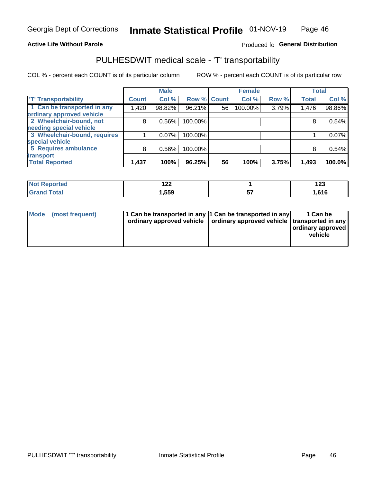#### **Active Life Without Parole**

#### Produced fo General Distribution

## PULHESDWIT medical scale - 'T' transportability

COL % - percent each COUNT is of its particular column

|                              |              | <b>Male</b> |                    |    | <b>Female</b> |       |              | <b>Total</b> |
|------------------------------|--------------|-------------|--------------------|----|---------------|-------|--------------|--------------|
| <b>T' Transportability</b>   | <b>Count</b> | Col %       | <b>Row % Count</b> |    | Col %         | Row % | <b>Total</b> | Col %        |
| 1 Can be transported in any  | 1,420        | 98.82%      | 96.21%             | 56 | 100.00%       | 3.79% | 1,476        | 98.86%       |
| ordinary approved vehicle    |              |             |                    |    |               |       |              |              |
| 2 Wheelchair-bound, not      | 8            | 0.56%       | 100.00%            |    |               |       |              | 0.54%        |
| needing special vehicle      |              |             |                    |    |               |       |              |              |
| 3 Wheelchair-bound, requires |              | 0.07%       | 100.00%            |    |               |       |              | 0.07%        |
| special vehicle              |              |             |                    |    |               |       |              |              |
| 5 Requires ambulance         | 8            | 0.56%       | 100.00%            |    |               |       |              | 0.54%        |
| transport                    |              |             |                    |    |               |       |              |              |
| <b>Total Reported</b>        | 1,437        | 100%        | 96.25%             | 56 | 100%          | 3.75% | 1,493        | 100.0%       |

| orted | $\sim$<br>▗▃▃ | $\overline{ }$<br>14J |
|-------|---------------|-----------------------|
| `otal | ,559          | .616،                 |

| <b>Mode</b> | (most frequent) | 1 Can be transported in any 1 Can be transported in any | ordinary approved vehicle   ordinary approved vehicle   transported in any | 1 Can be<br>  ordinary approved  <br>vehicle |
|-------------|-----------------|---------------------------------------------------------|----------------------------------------------------------------------------|----------------------------------------------|
|-------------|-----------------|---------------------------------------------------------|----------------------------------------------------------------------------|----------------------------------------------|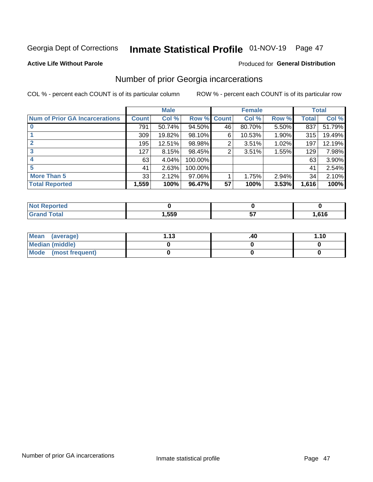## Inmate Statistical Profile 01-NOV-19 Page 47

#### **Active Life Without Parole**

#### Produced for General Distribution

### Number of prior Georgia incarcerations

COL % - percent each COUNT is of its particular column

|                                       |       | <b>Male</b> |             |    | <b>Female</b> |       |       | <b>Total</b> |
|---------------------------------------|-------|-------------|-------------|----|---------------|-------|-------|--------------|
| <b>Num of Prior GA Incarcerations</b> | Count | Col %       | Row % Count |    | Col %         | Row % | Total | Col %        |
| $\bf{0}$                              | 791   | 50.74%      | 94.50%      | 46 | 80.70%        | 5.50% | 837   | 51.79%       |
|                                       | 309   | 19.82%      | 98.10%      | 6  | 10.53%        | 1.90% | 315   | 19.49%       |
|                                       | 195   | 12.51%      | 98.98%      | 2  | 3.51%         | 1.02% | 197   | 12.19%       |
| 3                                     | 127   | 8.15%       | 98.45%      | 2  | 3.51%         | 1.55% | 129   | 7.98%        |
| 4                                     | 63    | 4.04%       | 100.00%     |    |               |       | 63    | $3.90\%$     |
| 5                                     | 41    | 2.63%       | 100.00%     |    |               |       | 41    | 2.54%        |
| <b>More Than 5</b>                    | 33    | 2.12%       | $97.06\%$   |    | 1.75%         | 2.94% | 34    | 2.10%        |
| <b>Total Reported</b>                 | 1,559 | 100%        | 96.47%      | 57 | 100%          | 3.53% | 1,616 | 100%         |

| eported<br>NO                    |      |       |
|----------------------------------|------|-------|
| <b>Total</b><br>$\mathbf{v}$ and | ,559 | .616، |

| Mean (average)       | 1 1 2 | .40 | 1.10 |
|----------------------|-------|-----|------|
| Median (middle)      |       |     |      |
| Mode (most frequent) |       |     |      |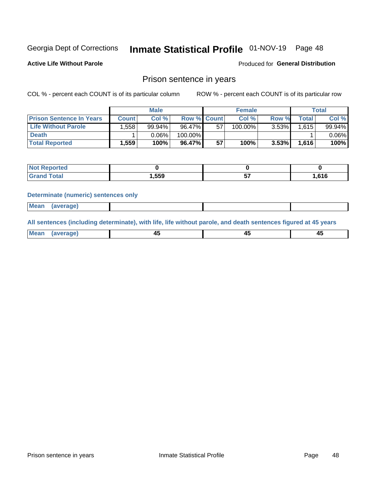## Inmate Statistical Profile 01-NOV-19 Page 48

**Active Life Without Parole** 

Produced for General Distribution

### Prison sentence in years

COL % - percent each COUNT is of its particular column

ROW % - percent each COUNT is of its particular row

|                                 |              | <b>Male</b> |                    |    | <b>Female</b> |          |       | Total    |
|---------------------------------|--------------|-------------|--------------------|----|---------------|----------|-------|----------|
| <b>Prison Sentence In Years</b> | <b>Count</b> | Col %       | <b>Row % Count</b> |    | Col %         | Row %    | Total | Col %    |
| <b>Life Without Parole</b>      | .558         | 99.94%      | 96.47%             | 57 | 100.00%       | 3.53%    | 1.615 | 99.94%   |
| <b>Death</b>                    |              | 0.06%       | 100.00%            |    |               |          |       | $0.06\%$ |
| <b>Total Reported</b>           | 1,559        | 100%        | 96.47%             | 57 | 100%          | $3.53\%$ | 1,616 | 100%     |

| <b>eported</b> |       |    |      |
|----------------|-------|----|------|
| <b>cotal</b>   | 1,559 | -- | .616 |

#### **Determinate (numeric) sentences only**

| 1112211 | <b>Mean</b> | Ane <sup>*</sup> |  |  |
|---------|-------------|------------------|--|--|

All sentences (including determinate), with life, life without parole, and death sentences figured at 45 years

| l Mea<br>'ЯМА<br>.<br> | ᠇<br>$\sim$ | $\sim$ |  |
|------------------------|-------------|--------|--|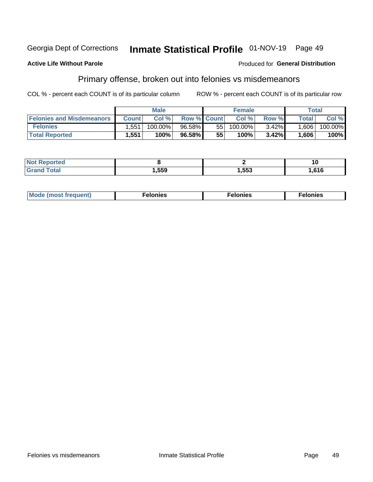#### Georgia Dept of Corrections Inmate Statistical Profile 01-NOV-19 Page 49

#### **Active Life Without Parole**

#### **Produced for General Distribution**

### Primary offense, broken out into felonies vs misdemeanors

COL % - percent each COUNT is of its particular column

|                                  |              | <b>Male</b> |                    |    | <b>Female</b> |          |                    | Total   |
|----------------------------------|--------------|-------------|--------------------|----|---------------|----------|--------------------|---------|
| <b>Felonies and Misdemeanors</b> | <b>Count</b> | Col%        | <b>Row % Count</b> |    | Col%          | Row %    | Total <sub>1</sub> | Col %   |
| <b>Felonies</b>                  | .551         | 100.00%     | 96.58%             | 55 | 100.00%       | $3.42\%$ | 1,606              | 100.00% |
| <b>Total Reported</b>            | .551         | 100%        | 96.58%             | 55 | $100\%$       | 3.42%    | 1,606              | 100%    |

| <b>Not Reported</b> |       |      | . u   |
|---------------------|-------|------|-------|
| `otal<br>Grand      | 1,559 | 553, | .616. |

| <b>Mode</b><br>frequent)<br>nies<br>≧ (most tr.<br>. | onies<br>. | lonies<br>енл<br>____ |
|------------------------------------------------------|------------|-----------------------|
|------------------------------------------------------|------------|-----------------------|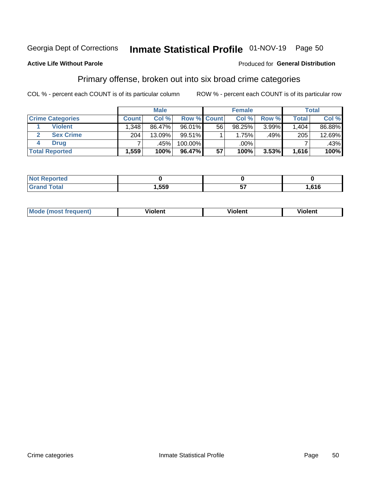#### Inmate Statistical Profile 01-NOV-19 Page 50 Georgia Dept of Corrections

#### **Active Life Without Parole**

#### Produced for General Distribution

### Primary offense, broken out into six broad crime categories

COL % - percent each COUNT is of its particular column

|                         |              | <b>Male</b> |         |                    | <b>Female</b> |       |              | <b>Total</b> |
|-------------------------|--------------|-------------|---------|--------------------|---------------|-------|--------------|--------------|
| <b>Crime Categories</b> | <b>Count</b> | Col%        |         | <b>Row % Count</b> | Col %         | Row % | <b>Total</b> | Col %        |
| <b>Violent</b>          | .348         | 86.47%      | 96.01%  | 56                 | 98.25%        | 3.99% | 1,404        | 86.88%       |
| <b>Sex Crime</b>        | 204          | 13.09%      | 99.51%  |                    | 1.75%         | .49%  | 205          | 12.69%       |
| <b>Drug</b>             |              | .45%        | 100.00% |                    | .00%          |       |              | $.43\%$      |
| <b>Total Reported</b>   | 1,559        | 100%        | 96.47%  | 57                 | 100%          | 3.53% | 1,616        | 100%         |

| .           |      |                         |      |
|-------------|------|-------------------------|------|
| -<br>______ | ,559 | --<br>$\cdot$<br>$\sim$ | .616 |

| Mo<br>quenti | .<br>iolent<br>ΊΙ. | --<br>olent | .<br>'ent |
|--------------|--------------------|-------------|-----------|
|              |                    |             |           |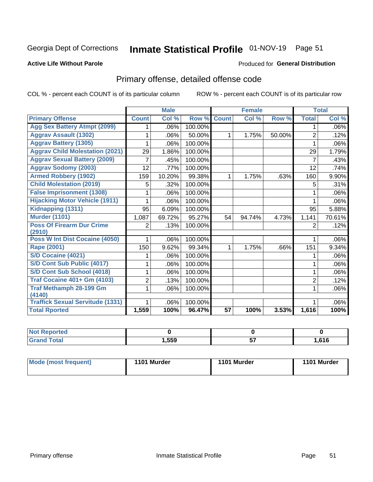## Inmate Statistical Profile 01-NOV-19 Page 51

#### **Active Life Without Parole**

#### Produced for General Distribution

## Primary offense, detailed offense code

COL % - percent each COUNT is of its particular column

|                                            |                | <b>Male</b>                |         |                 | <b>Female</b> |        |                | <b>Total</b> |
|--------------------------------------------|----------------|----------------------------|---------|-----------------|---------------|--------|----------------|--------------|
| <b>Primary Offense</b>                     | <b>Count</b>   | $\overline{\text{Col }^9}$ | Row %   | <b>Count</b>    | Col %         | Row %  | <b>Total</b>   | Col %        |
| <b>Agg Sex Battery Atmpt (2099)</b>        |                | .06%                       | 100.00% |                 |               |        | 1              | .06%         |
| <b>Aggrav Assault (1302)</b>               |                | .06%                       | 50.00%  | 1               | 1.75%         | 50.00% | $\overline{2}$ | .12%         |
| <b>Aggrav Battery (1305)</b>               |                | .06%                       | 100.00% |                 |               |        |                | .06%         |
| <b>Aggrav Child Molestation (2021)</b>     | 29             | 1.86%                      | 100.00% |                 |               |        | 29             | 1.79%        |
| <b>Aggrav Sexual Battery (2009)</b>        | 7              | .45%                       | 100.00% |                 |               |        | 7              | .43%         |
| <b>Aggrav Sodomy (2003)</b>                | 12             | .77%                       | 100.00% |                 |               |        | 12             | .74%         |
| <b>Armed Robbery (1902)</b>                | 159            | 10.20%                     | 99.38%  | 1               | 1.75%         | .63%   | 160            | 9.90%        |
| <b>Child Molestation (2019)</b>            | 5              | .32%                       | 100.00% |                 |               |        | 5              | .31%         |
| <b>False Imprisonment (1308)</b>           |                | .06%                       | 100.00% |                 |               |        |                | .06%         |
| <b>Hijacking Motor Vehicle (1911)</b>      |                | .06%                       | 100.00% |                 |               |        |                | .06%         |
| Kidnapping (1311)                          | 95             | 6.09%                      | 100.00% |                 |               |        | 95             | 5.88%        |
| <b>Murder (1101)</b>                       | 1,087          | 69.72%                     | 95.27%  | 54              | 94.74%        | 4.73%  | 1,141          | 70.61%       |
| <b>Poss Of Firearm Dur Crime</b><br>(2910) | 2              | .13%                       | 100.00% |                 |               |        | 2              | .12%         |
| Poss W Int Dist Cocaine (4050)             |                | .06%                       | 100.00% |                 |               |        |                | .06%         |
| Rape (2001)                                | 150            | 9.62%                      | 99.34%  | 1               | 1.75%         | .66%   | 151            | 9.34%        |
| S/D Cocaine (4021)                         |                | .06%                       | 100.00% |                 |               |        |                | .06%         |
| S/D Cont Sub Public (4017)                 |                | .06%                       | 100.00% |                 |               |        | 1              | .06%         |
| S/D Cont Sub School (4018)                 |                | .06%                       | 100.00% |                 |               |        | 1              | .06%         |
| <b>Traf Cocaine 401+ Gm (4103)</b>         | $\overline{2}$ | .13%                       | 100.00% |                 |               |        | $\overline{2}$ | .12%         |
| <b>Traf Methamph 28-199 Gm</b>             | 1              | .06%                       | 100.00% |                 |               |        | 1              | .06%         |
| (4140)                                     |                |                            |         |                 |               |        |                |              |
| <b>Traffick Sexual Servitude (1331)</b>    |                | .06%                       | 100.00% |                 |               |        |                | .06%         |
| <b>Total Rported</b>                       | 1,559          | 100%                       | 96.47%  | $\overline{57}$ | 100%          | 3.53%  | 1,616          | 100%         |

| <b>Not</b><br><b>orted</b><br>Renc |      |          |       |
|------------------------------------|------|----------|-------|
| <b>Total</b><br><b>Croy</b>        | ,559 | --<br>ັັ | .616، |

| Mode (most frequent) | 1101 Murder | 1101 Murder | 1101 Murder |
|----------------------|-------------|-------------|-------------|
|----------------------|-------------|-------------|-------------|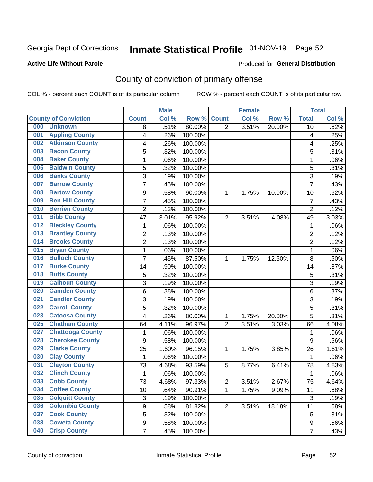## Inmate Statistical Profile 01-NOV-19 Page 52

#### **Active Life Without Parole**

#### Produced for General Distribution

## County of conviction of primary offense

COL % - percent each COUNT is of its particular column

|                                |                           | <b>Male</b> |         |                | <b>Female</b> |        |                         | <b>Total</b> |
|--------------------------------|---------------------------|-------------|---------|----------------|---------------|--------|-------------------------|--------------|
| <b>County of Conviction</b>    | <b>Count</b>              | Col %       | Row %   | <b>Count</b>   | Col %         | Row %  | <b>Total</b>            | Col %        |
| 000<br><b>Unknown</b>          | 8                         | .51%        | 80.00%  | 2              | 3.51%         | 20.00% | 10                      | .62%         |
| <b>Appling County</b><br>001   | 4                         | .26%        | 100.00% |                |               |        | $\overline{\mathbf{4}}$ | .25%         |
| <b>Atkinson County</b><br>002  | 4                         | .26%        | 100.00% |                |               |        | 4                       | .25%         |
| <b>Bacon County</b><br>003     | 5                         | .32%        | 100.00% |                |               |        | 5                       | .31%         |
| <b>Baker County</b><br>004     | 1                         | .06%        | 100.00% |                |               |        | 1                       | .06%         |
| <b>Baldwin County</b><br>005   | 5                         | .32%        | 100.00% |                |               |        | 5                       | .31%         |
| <b>Banks County</b><br>006     | 3                         | .19%        | 100.00% |                |               |        | 3                       | .19%         |
| <b>Barrow County</b><br>007    | $\overline{7}$            | .45%        | 100.00% |                |               |        | $\overline{7}$          | .43%         |
| <b>Bartow County</b><br>008    | 9                         | .58%        | 90.00%  | 1              | 1.75%         | 10.00% | 10                      | .62%         |
| <b>Ben Hill County</b><br>009  | $\overline{7}$            | .45%        | 100.00% |                |               |        | 7                       | .43%         |
| <b>Berrien County</b><br>010   | $\overline{c}$            | .13%        | 100.00% |                |               |        | $\overline{c}$          | .12%         |
| <b>Bibb County</b><br>011      | 47                        | 3.01%       | 95.92%  | $\overline{2}$ | 3.51%         | 4.08%  | 49                      | 3.03%        |
| <b>Bleckley County</b><br>012  | 1                         | .06%        | 100.00% |                |               |        | $\mathbf{1}$            | .06%         |
| <b>Brantley County</b><br>013  | $\overline{2}$            | .13%        | 100.00% |                |               |        | $\boldsymbol{2}$        | .12%         |
| <b>Brooks County</b><br>014    | $\overline{c}$            | .13%        | 100.00% |                |               |        | $\overline{c}$          | .12%         |
| <b>Bryan County</b><br>015     | 1                         | .06%        | 100.00% |                |               |        | $\mathbf{1}$            | .06%         |
| <b>Bulloch County</b><br>016   | $\overline{7}$            | .45%        | 87.50%  | 1              | 1.75%         | 12.50% | 8                       | .50%         |
| <b>Burke County</b><br>017     | 14                        | .90%        | 100.00% |                |               |        | 14                      | .87%         |
| <b>Butts County</b><br>018     | 5                         | .32%        | 100.00% |                |               |        | $\overline{5}$          | .31%         |
| <b>Calhoun County</b><br>019   | $\overline{3}$            | .19%        | 100.00% |                |               |        | $\overline{3}$          | .19%         |
| <b>Camden County</b><br>020    | 6                         | .38%        | 100.00% |                |               |        | $\,6\,$                 | .37%         |
| <b>Candler County</b><br>021   | 3                         | .19%        | 100.00% |                |               |        | 3                       | .19%         |
| <b>Carroll County</b><br>022   | 5                         | .32%        | 100.00% |                |               |        | 5                       | .31%         |
| <b>Catoosa County</b><br>023   | 4                         | .26%        | 80.00%  | 1              | 1.75%         | 20.00% | $\overline{5}$          | .31%         |
| <b>Chatham County</b><br>025   | 64                        | 4.11%       | 96.97%  | $\overline{2}$ | 3.51%         | 3.03%  | 66                      | 4.08%        |
| <b>Chattooga County</b><br>027 | 1                         | .06%        | 100.00% |                |               |        | 1                       | .06%         |
| <b>Cherokee County</b><br>028  | $\boldsymbol{9}$          | .58%        | 100.00% |                |               |        | $9\,$                   | .56%         |
| <b>Clarke County</b><br>029    | 25                        | 1.60%       | 96.15%  | 1              | 1.75%         | 3.85%  | 26                      | 1.61%        |
| <b>Clay County</b><br>030      | 1                         | .06%        | 100.00% |                |               |        | $\mathbf{1}$            | .06%         |
| <b>Clayton County</b><br>031   | 73                        | 4.68%       | 93.59%  | 5              | 8.77%         | 6.41%  | 78                      | 4.83%        |
| <b>Clinch County</b><br>032    | 1                         | .06%        | 100.00% |                |               |        | 1                       | .06%         |
| <b>Cobb County</b><br>033      | 73                        | 4.68%       | 97.33%  | 2              | 3.51%         | 2.67%  | 75                      | 4.64%        |
| <b>Coffee County</b><br>034    | 10                        | .64%        | 90.91%  | 1              | 1.75%         | 9.09%  | 11                      | .68%         |
| <b>Colquitt County</b><br>035  | $\ensuremath{\mathsf{3}}$ | .19%        | 100.00% |                |               |        | $\mathbf{3}$            | .19%         |
| <b>Columbia County</b><br>036  | $\boldsymbol{9}$          | .58%        | 81.82%  | $\overline{2}$ | 3.51%         | 18.18% | 11                      | .68%         |
| <b>Cook County</b><br>037      | 5                         | .32%        | 100.00% |                |               |        | $\sqrt{5}$              | .31%         |
| <b>Coweta County</b><br>038    | 9                         | .58%        | 100.00% |                |               |        | 9                       | .56%         |
| <b>Crisp County</b><br>040     | $\overline{7}$            | .45%        | 100.00% |                |               |        | $\overline{7}$          | .43%         |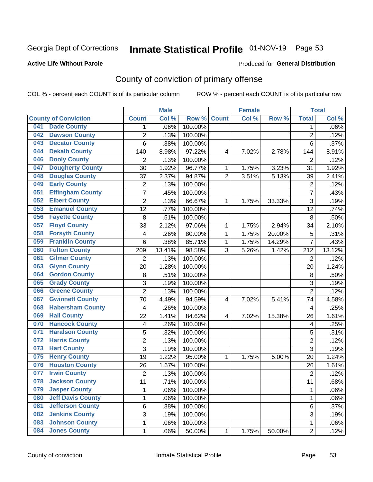## Inmate Statistical Profile 01-NOV-19 Page 53

#### **Active Life Without Parole**

#### Produced for General Distribution

## County of conviction of primary offense

COL % - percent each COUNT is of its particular column

|     |                             |                | <b>Male</b> |         |                | <b>Female</b> |        |                | <b>Total</b> |
|-----|-----------------------------|----------------|-------------|---------|----------------|---------------|--------|----------------|--------------|
|     | <b>County of Conviction</b> | <b>Count</b>   | Col %       | Row %   | <b>Count</b>   | Col %         | Row %  | <b>Total</b>   | Col %        |
| 041 | <b>Dade County</b>          | 1              | .06%        | 100.00% |                |               |        | 1              | $.06\%$      |
| 042 | <b>Dawson County</b>        | $\overline{2}$ | .13%        | 100.00% |                |               |        | $\overline{2}$ | .12%         |
| 043 | <b>Decatur County</b>       | 6              | .38%        | 100.00% |                |               |        | 6              | .37%         |
| 044 | <b>Dekalb County</b>        | 140            | 8.98%       | 97.22%  | 4              | 7.02%         | 2.78%  | 144            | 8.91%        |
| 046 | <b>Dooly County</b>         | $\overline{2}$ | .13%        | 100.00% |                |               |        | $\overline{2}$ | .12%         |
| 047 | <b>Dougherty County</b>     | 30             | 1.92%       | 96.77%  | 1              | 1.75%         | 3.23%  | 31             | 1.92%        |
| 048 | <b>Douglas County</b>       | 37             | 2.37%       | 94.87%  | $\overline{2}$ | 3.51%         | 5.13%  | 39             | 2.41%        |
| 049 | <b>Early County</b>         | $\mathbf 2$    | .13%        | 100.00% |                |               |        | $\overline{2}$ | .12%         |
| 051 | <b>Effingham County</b>     | 7              | .45%        | 100.00% |                |               |        | $\overline{7}$ | .43%         |
| 052 | <b>Elbert County</b>        | $\overline{2}$ | .13%        | 66.67%  | 1              | 1.75%         | 33.33% | 3              | .19%         |
| 053 | <b>Emanuel County</b>       | 12             | .77%        | 100.00% |                |               |        | 12             | .74%         |
| 056 | <b>Fayette County</b>       | 8              | .51%        | 100.00% |                |               |        | 8              | .50%         |
| 057 | <b>Floyd County</b>         | 33             | 2.12%       | 97.06%  | $\mathbf{1}$   | 1.75%         | 2.94%  | 34             | 2.10%        |
| 058 | <b>Forsyth County</b>       | 4              | .26%        | 80.00%  | 1              | 1.75%         | 20.00% | 5              | .31%         |
| 059 | <b>Franklin County</b>      | 6              | .38%        | 85.71%  | 1              | 1.75%         | 14.29% | $\overline{7}$ | .43%         |
| 060 | <b>Fulton County</b>        | 209            | 13.41%      | 98.58%  | 3              | 5.26%         | 1.42%  | 212            | 13.12%       |
| 061 | <b>Gilmer County</b>        | $\overline{2}$ | .13%        | 100.00% |                |               |        | $\overline{2}$ | .12%         |
| 063 | <b>Glynn County</b>         | 20             | 1.28%       | 100.00% |                |               |        | 20             | 1.24%        |
| 064 | <b>Gordon County</b>        | 8              | .51%        | 100.00% |                |               |        | 8              | .50%         |
| 065 | <b>Grady County</b>         | 3              | .19%        | 100.00% |                |               |        | $\overline{3}$ | .19%         |
| 066 | <b>Greene County</b>        | $\overline{2}$ | .13%        | 100.00% |                |               |        | $\overline{2}$ | .12%         |
| 067 | <b>Gwinnett County</b>      | 70             | 4.49%       | 94.59%  | 4              | 7.02%         | 5.41%  | 74             | 4.58%        |
| 068 | <b>Habersham County</b>     | $\overline{4}$ | .26%        | 100.00% |                |               |        | 4              | .25%         |
| 069 | <b>Hall County</b>          | 22             | 1.41%       | 84.62%  | 4              | 7.02%         | 15.38% | 26             | 1.61%        |
| 070 | <b>Hancock County</b>       | 4              | .26%        | 100.00% |                |               |        | 4              | .25%         |
| 071 | <b>Haralson County</b>      | 5              | .32%        | 100.00% |                |               |        | 5              | .31%         |
| 072 | <b>Harris County</b>        | $\overline{2}$ | .13%        | 100.00% |                |               |        | $\overline{2}$ | .12%         |
| 073 | <b>Hart County</b>          | 3              | .19%        | 100.00% |                |               |        | $\overline{3}$ | .19%         |
| 075 | <b>Henry County</b>         | 19             | 1.22%       | 95.00%  | $\mathbf{1}$   | 1.75%         | 5.00%  | 20             | 1.24%        |
| 076 | <b>Houston County</b>       | 26             | 1.67%       | 100.00% |                |               |        | 26             | 1.61%        |
| 077 | <b>Irwin County</b>         | $\overline{2}$ | .13%        | 100.00% |                |               |        | $\overline{2}$ | .12%         |
| 078 | <b>Jackson County</b>       | 11             | .71%        | 100.00% |                |               |        | 11             | .68%         |
| 079 | <b>Jasper County</b>        | $\mathbf{1}$   | .06%        | 100.00% |                |               |        | $\mathbf{1}$   | .06%         |
| 080 | <b>Jeff Davis County</b>    | 1              | .06%        | 100.00% |                |               |        | $\mathbf{1}$   | .06%         |
| 081 | <b>Jefferson County</b>     | 6              | .38%        | 100.00% |                |               |        | 6              | .37%         |
| 082 | <b>Jenkins County</b>       | 3              | .19%        | 100.00% |                |               |        | 3              | .19%         |
| 083 | <b>Johnson County</b>       | $\mathbf 1$    | .06%        | 100.00% |                |               |        | $\mathbf 1$    | .06%         |
| 084 | <b>Jones County</b>         | $\mathbf 1$    | .06%        | 50.00%  | 1              | 1.75%         | 50.00% | $\overline{2}$ | .12%         |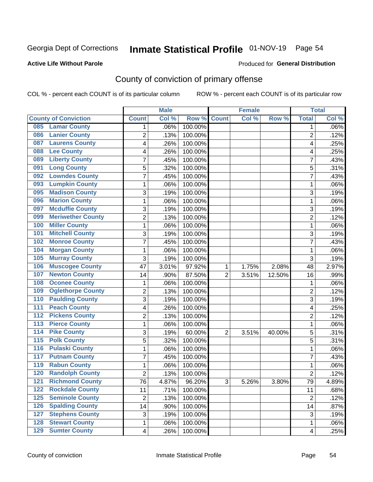## Inmate Statistical Profile 01-NOV-19 Page 54

#### **Active Life Without Parole**

#### Produced for General Distribution

## County of conviction of primary offense

COL % - percent each COUNT is of its particular column

|                                           |                | <b>Male</b> |         |                | <b>Female</b> |          |                | <b>Total</b> |
|-------------------------------------------|----------------|-------------|---------|----------------|---------------|----------|----------------|--------------|
| <b>County of Conviction</b>               | <b>Count</b>   | Col %       | Row %   | <b>Count</b>   | Col %         | Row %    | <b>Total</b>   | Col %        |
| <b>Lamar County</b><br>085                | 1              | .06%        | 100.00% |                |               |          | 1              | $.06\%$      |
| <b>Lanier County</b><br>086               | $\overline{2}$ | .13%        | 100.00% |                |               |          | $\overline{2}$ | .12%         |
| <b>Laurens County</b><br>087              | 4              | .26%        | 100.00% |                |               |          | 4              | .25%         |
| <b>Lee County</b><br>088                  | 4              | .26%        | 100.00% |                |               |          | 4              | .25%         |
| <b>Liberty County</b><br>089              | 7              | .45%        | 100.00% |                |               |          | 7              | .43%         |
| <b>Long County</b><br>091                 | 5              | .32%        | 100.00% |                |               |          | 5              | .31%         |
| <b>Lowndes County</b><br>092              | 7              | .45%        | 100.00% |                |               |          | 7              | .43%         |
| <b>Lumpkin County</b><br>093              | 1              | .06%        | 100.00% |                |               |          | $\mathbf{1}$   | .06%         |
| <b>Madison County</b><br>095              | 3              | .19%        | 100.00% |                |               |          | 3              | .19%         |
| <b>Marion County</b><br>096               | 1              | .06%        | 100.00% |                |               |          | $\mathbf{1}$   | .06%         |
| <b>Mcduffie County</b><br>097             | 3              | .19%        | 100.00% |                |               |          | 3              | .19%         |
| <b>Meriwether County</b><br>099           | $\overline{2}$ | .13%        | 100.00% |                |               |          | $\overline{2}$ | .12%         |
| <b>Miller County</b><br>100               | 1              | .06%        | 100.00% |                |               |          | $\mathbf{1}$   | .06%         |
| <b>Mitchell County</b><br>101             | 3              | .19%        | 100.00% |                |               |          | 3              | .19%         |
| <b>Monroe County</b><br>102               | 7              | .45%        | 100.00% |                |               |          | $\overline{7}$ | .43%         |
| <b>Morgan County</b><br>104               | 1              | .06%        | 100.00% |                |               |          | $\mathbf{1}$   | .06%         |
| <b>Murray County</b><br>105               | 3              | .19%        | 100.00% |                |               |          | 3              | .19%         |
| <b>Muscogee County</b><br>106             | 47             | 3.01%       | 97.92%  | 1              | 1.75%         | 2.08%    | 48             | 2.97%        |
| <b>Newton County</b><br>107               | 14             | .90%        | 87.50%  | $\overline{2}$ | 3.51%         | 12.50%   | 16             | .99%         |
| <b>Oconee County</b><br>108               | 1              | .06%        | 100.00% |                |               |          | 1              | .06%         |
| <b>Oglethorpe County</b><br>109           | 2              | .13%        | 100.00% |                |               |          | $\overline{2}$ | .12%         |
| <b>Paulding County</b><br>110             | 3              | .19%        | 100.00% |                |               |          | 3              | .19%         |
| <b>Peach County</b><br>111                | 4              | .26%        | 100.00% |                |               |          | 4              | .25%         |
| <b>Pickens County</b><br>$\overline{112}$ | $\overline{2}$ | .13%        | 100.00% |                |               |          | $\overline{2}$ | .12%         |
| <b>Pierce County</b><br>113               | 1              | .06%        | 100.00% |                |               |          | 1              | .06%         |
| <b>Pike County</b><br>$\overline{114}$    | 3              | .19%        | 60.00%  | $\overline{2}$ | 3.51%         | 40.00%   | 5              | .31%         |
| <b>Polk County</b><br>115                 | 5              | .32%        | 100.00% |                |               |          | 5              | .31%         |
| <b>Pulaski County</b><br>116              | 1              | .06%        | 100.00% |                |               |          | 1              | .06%         |
| <b>Putnam County</b><br>117               | 7              | .45%        | 100.00% |                |               |          | 7              | .43%         |
| <b>Rabun County</b><br>119                | 1              | .06%        | 100.00% |                |               |          | $\mathbf{1}$   | .06%         |
| <b>Randolph County</b><br>120             | $\overline{2}$ | .13%        | 100.00% |                |               |          | $\overline{2}$ | .12%         |
| <b>Richmond County</b><br>121             | 76             | 4.87%       | 96.20%  | 3              | 5.26%         | $3.80\%$ | 79             | 4.89%        |
| <b>Rockdale County</b><br>122             | 11             | .71%        | 100.00% |                |               |          | 11             | .68%         |
| <b>Seminole County</b><br>$125$           | $\overline{2}$ | .13%        | 100.00% |                |               |          | $\overline{2}$ | .12%         |
| <b>Spalding County</b><br>126             | 14             | .90%        | 100.00% |                |               |          | 14             | .87%         |
| <b>Stephens County</b><br>127             | 3              | .19%        | 100.00% |                |               |          | 3              | .19%         |
| <b>Stewart County</b><br>128              | 1              | .06%        | 100.00% |                |               |          | 1              | .06%         |
| <b>Sumter County</b><br>129               | 4              | .26%        | 100.00% |                |               |          | 4              | .25%         |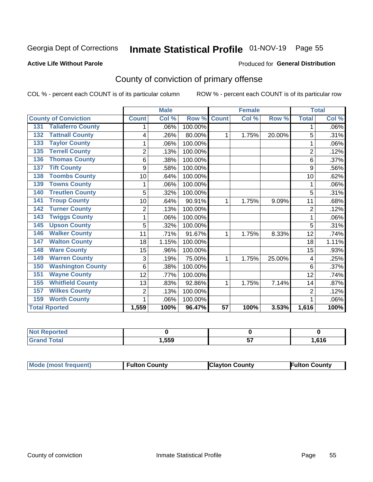## Inmate Statistical Profile 01-NOV-19 Page 55

#### **Active Life Without Parole**

#### **Produced for General Distribution**

## County of conviction of primary offense

COL % - percent each COUNT is of its particular column

|                                 |                | <b>Male</b> |         |                 | <b>Female</b> |        | <b>Total</b>   |       |
|---------------------------------|----------------|-------------|---------|-----------------|---------------|--------|----------------|-------|
| <b>County of Conviction</b>     | <b>Count</b>   | Col %       | Row %   | <b>Count</b>    | CoI%          | Row %  | <b>Total</b>   | Col % |
| <b>Taliaferro County</b><br>131 | 1              | .06%        | 100.00% |                 |               |        | 1              | .06%  |
| <b>Tattnall County</b><br>132   | 4              | .26%        | 80.00%  | 1               | 1.75%         | 20.00% | 5              | .31%  |
| <b>Taylor County</b><br>133     |                | .06%        | 100.00% |                 |               |        | 1              | .06%  |
| <b>Terrell County</b><br>135    | $\overline{2}$ | .13%        | 100.00% |                 |               |        | $\overline{2}$ | .12%  |
| <b>Thomas County</b><br>136     | 6              | .38%        | 100.00% |                 |               |        | 6              | .37%  |
| <b>Tift County</b><br>137       | 9              | .58%        | 100.00% |                 |               |        | 9              | .56%  |
| <b>Toombs County</b><br>138     | 10             | .64%        | 100.00% |                 |               |        | 10             | .62%  |
| <b>Towns County</b><br>139      |                | .06%        | 100.00% |                 |               |        | 1              | .06%  |
| <b>Treutlen County</b><br>140   | 5              | .32%        | 100.00% |                 |               |        | 5              | .31%  |
| <b>Troup County</b><br>141      | 10             | .64%        | 90.91%  | 1               | 1.75%         | 9.09%  | 11             | .68%  |
| <b>Turner County</b><br>142     | $\overline{2}$ | .13%        | 100.00% |                 |               |        | $\overline{2}$ | .12%  |
| <b>Twiggs County</b><br>143     |                | .06%        | 100.00% |                 |               |        | 1              | .06%  |
| <b>Upson County</b><br>145      | 5              | .32%        | 100.00% |                 |               |        | 5              | .31%  |
| <b>Walker County</b><br>146     | 11             | .71%        | 91.67%  | 1               | 1.75%         | 8.33%  | 12             | .74%  |
| <b>Walton County</b><br>147     | 18             | 1.15%       | 100.00% |                 |               |        | 18             | 1.11% |
| <b>Ware County</b><br>148       | 15             | .96%        | 100.00% |                 |               |        | 15             | .93%  |
| <b>Warren County</b><br>149     | 3              | .19%        | 75.00%  | 1               | 1.75%         | 25.00% | 4              | .25%  |
| <b>Washington County</b><br>150 | 6              | .38%        | 100.00% |                 |               |        | 6              | .37%  |
| <b>Wayne County</b><br>151      | 12             | .77%        | 100.00% |                 |               |        | 12             | .74%  |
| <b>Whitfield County</b><br>155  | 13             | .83%        | 92.86%  | 1               | 1.75%         | 7.14%  | 14             | .87%  |
| <b>Wilkes County</b><br>157     | $\overline{2}$ | .13%        | 100.00% |                 |               |        | $\overline{2}$ | .12%  |
| <b>Worth County</b><br>159      | 1              | .06%        | 100.00% |                 |               |        | 1              | .06%  |
| <b>Total Rported</b>            | 1,559          | 100%        | 96.47%  | $\overline{57}$ | 100%          | 3.53%  | 1,616          | 100%  |

| Reported<br><b>NOT</b><br>$\cdots$ |      |          |      |
|------------------------------------|------|----------|------|
| $\sim$<br><b>Oldi</b>              | ,559 | --<br>v, | .616 |

| <b>Mode (most frequent)</b> | <b>Fulton County</b> | <b>Clayton County</b> | <b>Fulton County</b> |
|-----------------------------|----------------------|-----------------------|----------------------|
|-----------------------------|----------------------|-----------------------|----------------------|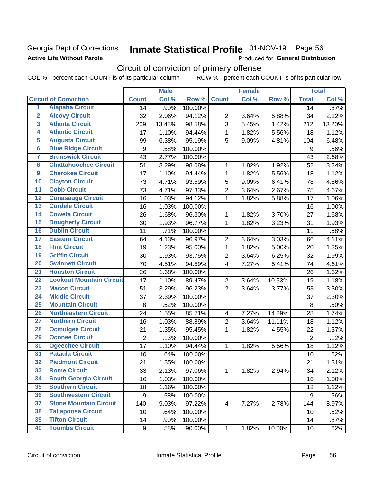### Georgia Dept of Corrections **Active Life Without Parole**

## Inmate Statistical Profile 01-NOV-19 Page 56

Produced for General Distribution

## Circuit of conviction of primary offense

COL % - percent each COUNT is of its particular column ROW % - percent each COUNT is of its particular row

|                         |                                 |                  | <b>Male</b> |         |                         | <b>Female</b> |        |                 | <b>Total</b> |
|-------------------------|---------------------------------|------------------|-------------|---------|-------------------------|---------------|--------|-----------------|--------------|
|                         | <b>Circuit of Conviction</b>    | <b>Count</b>     | Col %       | Row %   | <b>Count</b>            | Col %         | Row %  | <b>Total</b>    | Col %        |
| 1                       | <b>Alapaha Circuit</b>          | 14               | .90%        | 100.00% |                         |               |        | 14              | .87%         |
| $\overline{2}$          | <b>Alcovy Circuit</b>           | 32               | 2.06%       | 94.12%  | $\overline{2}$          | 3.64%         | 5.88%  | 34              | 2.12%        |
| $\overline{\mathbf{3}}$ | <b>Atlanta Circuit</b>          | 209              | 13.48%      | 98.58%  | 3                       | 5.45%         | 1.42%  | 212             | 13.20%       |
| 4                       | <b>Atlantic Circuit</b>         | 17               | 1.10%       | 94.44%  | $\mathbf 1$             | 1.82%         | 5.56%  | 18              | 1.12%        |
| $\overline{5}$          | <b>Augusta Circuit</b>          | 99               | 6.38%       | 95.19%  | 5                       | 9.09%         | 4.81%  | 104             | 6.48%        |
| $\overline{6}$          | <b>Blue Ridge Circuit</b>       | $\boldsymbol{9}$ | .58%        | 100.00% |                         |               |        | 9               | .56%         |
| 7                       | <b>Brunswick Circuit</b>        | 43               | 2.77%       | 100.00% |                         |               |        | 43              | 2.68%        |
| 8                       | <b>Chattahoochee Circuit</b>    | 51               | 3.29%       | 98.08%  | 1                       | 1.82%         | 1.92%  | 52              | 3.24%        |
| $\overline{9}$          | <b>Cherokee Circuit</b>         | 17               | 1.10%       | 94.44%  | 1                       | 1.82%         | 5.56%  | 18              | 1.12%        |
| 10                      | <b>Clayton Circuit</b>          | 73               | 4.71%       | 93.59%  | 5                       | 9.09%         | 6.41%  | 78              | 4.86%        |
| $\overline{11}$         | <b>Cobb Circuit</b>             | 73               | 4.71%       | 97.33%  | $\overline{c}$          | 3.64%         | 2.67%  | 75              | 4.67%        |
| 12                      | <b>Conasauga Circuit</b>        | 16               | 1.03%       | 94.12%  | $\mathbf{1}$            | 1.82%         | 5.88%  | 17              | 1.06%        |
| 13                      | <b>Cordele Circuit</b>          | 16               | 1.03%       | 100.00% |                         |               |        | 16              | 1.00%        |
| $\overline{14}$         | <b>Coweta Circuit</b>           | 26               | 1.68%       | 96.30%  | $\mathbf{1}$            | 1.82%         | 3.70%  | 27              | 1.68%        |
| $\overline{15}$         | <b>Dougherty Circuit</b>        | 30               | 1.93%       | 96.77%  | $\mathbf 1$             | 1.82%         | 3.23%  | 31              | 1.93%        |
| 16                      | <b>Dublin Circuit</b>           | 11               | .71%        | 100.00% |                         |               |        | 11              | .68%         |
| 17                      | <b>Eastern Circuit</b>          | 64               | 4.13%       | 96.97%  | $\overline{2}$          | 3.64%         | 3.03%  | 66              | 4.11%        |
| 18                      | <b>Flint Circuit</b>            | 19               | 1.23%       | 95.00%  | $\mathbf{1}$            | 1.82%         | 5.00%  | 20              | 1.25%        |
| 19                      | <b>Griffin Circuit</b>          | 30               | 1.93%       | 93.75%  | $\overline{2}$          | 3.64%         | 6.25%  | 32              | 1.99%        |
| $\overline{20}$         | <b>Gwinnett Circuit</b>         | 70               | 4.51%       | 94.59%  | 4                       | 7.27%         | 5.41%  | 74              | 4.61%        |
| $\overline{21}$         | <b>Houston Circuit</b>          | 26               | 1.68%       | 100.00% |                         |               |        | 26              | 1.62%        |
| $\overline{22}$         | <b>Lookout Mountain Circuit</b> | 17               | 1.10%       | 89.47%  | $\overline{2}$          | 3.64%         | 10.53% | 19              | 1.18%        |
| 23                      | <b>Macon Circuit</b>            | 51               | 3.29%       | 96.23%  | $\overline{2}$          | 3.64%         | 3.77%  | 53              | 3.30%        |
| $\overline{24}$         | <b>Middle Circuit</b>           | 37               | 2.39%       | 100.00% |                         |               |        | 37              | 2.30%        |
| 25                      | <b>Mountain Circuit</b>         | 8                | .52%        | 100.00% |                         |               |        | 8               | .50%         |
| 26                      | <b>Northeastern Circuit</b>     | 24               | 1.55%       | 85.71%  | $\overline{\mathbf{4}}$ | 7.27%         | 14.29% | 28              | 1.74%        |
| $\overline{27}$         | <b>Northern Circuit</b>         | 16               | 1.03%       | 88.89%  | $\overline{c}$          | 3.64%         | 11.11% | 18              | 1.12%        |
| 28                      | <b>Ocmulgee Circuit</b>         | 21               | 1.35%       | 95.45%  | $\mathbf{1}$            | 1.82%         | 4.55%  | 22              | 1.37%        |
| 29                      | <b>Oconee Circuit</b>           | $\overline{2}$   | .13%        | 100.00% |                         |               |        | $\overline{2}$  | .12%         |
| 30                      | <b>Ogeechee Circuit</b>         | 17               | 1.10%       | 94.44%  | 1                       | 1.82%         | 5.56%  | 18              | 1.12%        |
| $\overline{31}$         | <b>Pataula Circuit</b>          | 10               | .64%        | 100.00% |                         |               |        | 10              | .62%         |
| 32                      | <b>Piedmont Circuit</b>         | 21               | 1.35%       | 100.00% |                         |               |        | 21              | 1.31%        |
| 33                      | <b>Rome Circuit</b>             | 33               | 2.13%       | 97.06%  | $\mathbf{1}$            | 1.82%         | 2.94%  | 34              | 2.12%        |
| 34                      | <b>South Georgia Circuit</b>    | 16               | 1.03%       | 100.00% |                         |               |        | 16              | 1.00%        |
| 35                      | <b>Southern Circuit</b>         | 18               | 1.16%       | 100.00% |                         |               |        | 18              | 1.12%        |
| 36                      | <b>Southwestern Circuit</b>     | 9                | .58%        | 100.00% |                         |               |        | 9               | .56%         |
| 37                      | <b>Stone Mountain Circuit</b>   | 140              | 9.03%       | 97.22%  | 4                       | 7.27%         | 2.78%  | 144             | 8.97%        |
| 38                      | <b>Tallapoosa Circuit</b>       | 10               | .64%        | 100.00% |                         |               |        | 10              | .62%         |
| 39                      | <b>Tifton Circuit</b>           | 14               | .90%        | 100.00% |                         |               |        | 14              | .87%         |
| 40                      | <b>Toombs Circuit</b>           | 9                | .58%        | 90.00%  | $\mathbf{1}$            | 1.82%         | 10.00% | 10 <sub>1</sub> | .62%         |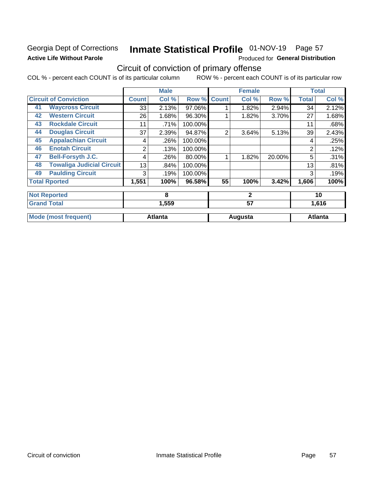### Georgia Dept of Corrections **Active Life Without Parole**

## Inmate Statistical Profile 01-NOV-19 Page 57

Produced for General Distribution

## Circuit of conviction of primary offense

COL % - percent each COUNT is of its particular column ROW % - percent each COUNT is of its particular row

|                             |                                  |                | <b>Male</b> |         |                | <b>Female</b> |        |                | <b>Total</b> |
|-----------------------------|----------------------------------|----------------|-------------|---------|----------------|---------------|--------|----------------|--------------|
|                             | <b>Circuit of Conviction</b>     | <b>Count</b>   | Col %       | Row %   | <b>Count</b>   | Col %         | Row %  | <b>Total</b>   | Col %        |
| 41                          | <b>Waycross Circuit</b>          | 33             | 2.13%       | 97.06%  |                | 1.82%         | 2.94%  | 34             | 2.12%        |
| 42                          | <b>Western Circuit</b>           | 26             | 1.68%       | 96.30%  |                | 1.82%         | 3.70%  | 27             | 1.68%        |
| 43                          | <b>Rockdale Circuit</b>          | 11             | .71%        | 100.00% |                |               |        | 11             | .68%         |
| 44                          | <b>Douglas Circuit</b>           | 37             | 2.39%       | 94.87%  | $\overline{2}$ | 3.64%         | 5.13%  | 39             | 2.43%        |
| 45                          | <b>Appalachian Circuit</b>       | 4              | .26%        | 100.00% |                |               |        | 4              | .25%         |
| 46                          | <b>Enotah Circuit</b>            | 2              | .13%        | 100.00% |                |               |        | 2              | .12%         |
| 47                          | <b>Bell-Forsyth J.C.</b>         | 4              | .26%        | 80.00%  |                | 1.82%         | 20.00% | 5              | .31%         |
| 48                          | <b>Towaliga Judicial Circuit</b> | 13             | .84%        | 100.00% |                |               |        | 13             | .81%         |
| 49                          | <b>Paulding Circuit</b>          | 3              | .19%        | 100.00% |                |               |        | 3              | .19%         |
|                             | <b>Total Rported</b>             | 1,551          | 100%        | 96.58%  | 55             | 100%          | 3.42%  | 1,606          | 100%         |
|                             | <b>Not Reported</b>              |                | 8           |         |                | $\mathbf{2}$  |        | 10             |              |
| <b>Grand Total</b>          |                                  | 1,559          |             |         | 57             |               |        | 1,616          |              |
| <b>Mode (most frequent)</b> |                                  | <b>Atlanta</b> |             |         | Augusta        |               |        | <b>Atlanta</b> |              |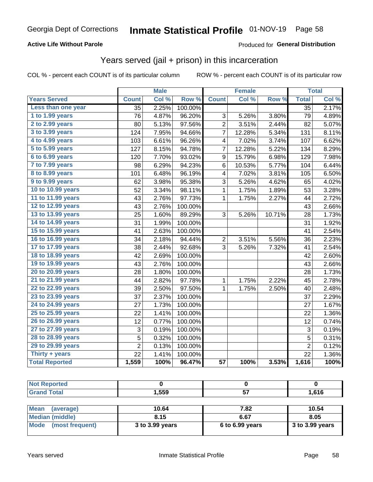#### **Active Life Without Parole**

#### Produced for General Distribution

### Years served (jail + prison) in this incarceration

COL % - percent each COUNT is of its particular column

|                        |                  | <b>Male</b> |         |                         | <b>Female</b> |        | <b>Total</b>              |       |
|------------------------|------------------|-------------|---------|-------------------------|---------------|--------|---------------------------|-------|
| <b>Years Served</b>    | <b>Count</b>     | Col %       | Row %   | <b>Count</b>            | Col %         | Row %  | <b>Total</b>              | Col % |
| Less than one year     | $\overline{35}$  | 2.25%       | 100.00% |                         |               |        | $\overline{35}$           | 2.17% |
| 1 to 1.99 years        | 76               | 4.87%       | 96.20%  | 3                       | 5.26%         | 3.80%  | 79                        | 4.89% |
| 2 to 2.99 years        | 80               | 5.13%       | 97.56%  | $\overline{c}$          | 3.51%         | 2.44%  | 82                        | 5.07% |
| 3 to 3.99 years        | 124              | 7.95%       | 94.66%  | 7                       | 12.28%        | 5.34%  | 131                       | 8.11% |
| 4 to 4.99 years        | 103              | 6.61%       | 96.26%  | 4                       | 7.02%         | 3.74%  | 107                       | 6.62% |
| 5 to 5.99 years        | $\overline{1}27$ | 8.15%       | 94.78%  | 7                       | 12.28%        | 5.22%  | 134                       | 8.29% |
| 6 to 6.99 years        | 120              | 7.70%       | 93.02%  | 9                       | 15.79%        | 6.98%  | 129                       | 7.98% |
| 7 to 7.99 years        | 98               | 6.29%       | 94.23%  | 6                       | 10.53%        | 5.77%  | 104                       | 6.44% |
| <b>8 to 8.99 years</b> | 101              | 6.48%       | 96.19%  | $\overline{\mathbf{4}}$ | 7.02%         | 3.81%  | 105                       | 6.50% |
| 9 to 9.99 years        | 62               | 3.98%       | 95.38%  | 3                       | 5.26%         | 4.62%  | 65                        | 4.02% |
| 10 to 10.99 years      | 52               | 3.34%       | 98.11%  | $\mathbf 1$             | 1.75%         | 1.89%  | 53                        | 3.28% |
| 11 to 11.99 years      | 43               | 2.76%       | 97.73%  | 1                       | 1.75%         | 2.27%  | 44                        | 2.72% |
| 12 to 12.99 years      | 43               | 2.76%       | 100.00% |                         |               |        | 43                        | 2.66% |
| 13 to 13.99 years      | 25               | 1.60%       | 89.29%  | $\overline{3}$          | 5.26%         | 10.71% | 28                        | 1.73% |
| 14 to 14.99 years      | 31               | 1.99%       | 100.00% |                         |               |        | 31                        | 1.92% |
| 15 to 15.99 years      | 41               | 2.63%       | 100.00% |                         |               |        | 41                        | 2.54% |
| 16 to 16.99 years      | 34               | 2.18%       | 94.44%  | $\overline{c}$          | 3.51%         | 5.56%  | 36                        | 2.23% |
| 17 to 17.99 years      | 38               | 2.44%       | 92.68%  | 3                       | 5.26%         | 7.32%  | 41                        | 2.54% |
| 18 to 18.99 years      | 42               | 2.69%       | 100.00% |                         |               |        | 42                        | 2.60% |
| 19 to 19.99 years      | 43               | 2.76%       | 100.00% |                         |               |        | 43                        | 2.66% |
| 20 to 20.99 years      | 28               | 1.80%       | 100.00% |                         |               |        | 28                        | 1.73% |
| 21 to 21.99 years      | 44               | 2.82%       | 97.78%  | 1                       | 1.75%         | 2.22%  | 45                        | 2.78% |
| 22 to 22.99 years      | 39               | 2.50%       | 97.50%  | 1                       | 1.75%         | 2.50%  | 40                        | 2.48% |
| 23 to 23.99 years      | 37               | 2.37%       | 100.00% |                         |               |        | 37                        | 2.29% |
| 24 to 24.99 years      | 27               | 1.73%       | 100.00% |                         |               |        | 27                        | 1.67% |
| 25 to 25.99 years      | 22               | 1.41%       | 100.00% |                         |               |        | 22                        | 1.36% |
| 26 to 26.99 years      | 12               | 0.77%       | 100.00% |                         |               |        | 12                        | 0.74% |
| 27 to 27.99 years      | 3                | 0.19%       | 100.00% |                         |               |        | $\ensuremath{\mathsf{3}}$ | 0.19% |
| 28 to 28.99 years      | 5                | 0.32%       | 100.00% |                         |               |        | 5                         | 0.31% |
| 29 to 29.99 years      | $\overline{2}$   | 0.13%       | 100.00% |                         |               |        | $\overline{2}$            | 0.12% |
| Thirty + years         | $\overline{22}$  | 1.41%       | 100.00% |                         |               |        | $\overline{22}$           | 1.36% |
| <b>Total Reported</b>  | 1,559            | 100%        | 96.47%  | $\overline{57}$         | 100%          | 3.53%  | 1,616                     | 100%  |

| -                                  | .559  | --     | CAC |
|------------------------------------|-------|--------|-----|
| $\sim$ $\sim$ $\sim$ $\sim$ $\sim$ | - - - | $\sim$ | . . |

| <b>Mean</b><br>(average) | 10.64           | 7.82              | 10.54             |
|--------------------------|-----------------|-------------------|-------------------|
| Median (middle)          | 8.15            | 6.67              | 8.05              |
| Mode (most frequent)     | 3 to 3.99 years | $6$ to 6.99 years | $3$ to 3.99 years |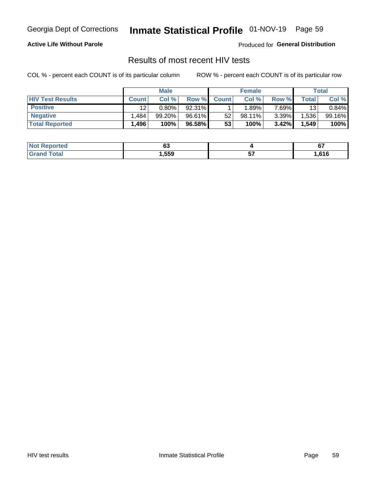## Inmate Statistical Profile 01-NOV-19 Page 59

#### **Active Life Without Parole**

Produced for General Distribution

### Results of most recent HIV tests

COL % - percent each COUNT is of its particular column

|                         |              | <b>Male</b> |        |              | <b>Female</b> |          |       | Total  |
|-------------------------|--------------|-------------|--------|--------------|---------------|----------|-------|--------|
| <b>HIV Test Results</b> | <b>Count</b> | Col %       | Row %I | <b>Count</b> | Col %         | Row %    | Total | Col %  |
| <b>Positive</b>         | 12           | $0.80\%$    | 92.31% |              | .89%          | 7.69%    | 13    | 0.84%  |
| <b>Negative</b>         | .484         | $99.20\%$   | 96.61% | 52           | $98.11\%$     | $3.39\%$ | .536  | 99.16% |
| <b>Total Reported</b>   | .496         | 100%        | 96.58% | 53           | 100%          | 3.42%    | 1,549 | 100%   |

| <b>Not Reported</b> | uu   | U.   |
|---------------------|------|------|
| <b>Grand Total</b>  | ,559 | .616 |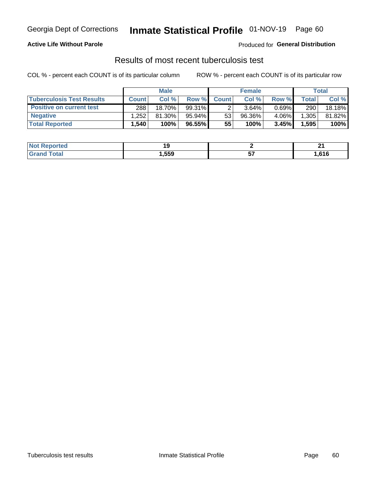## Georgia Dept of Corrections **Inmate Statistical Profile** 01-NOV-19 Page 60

#### **Active Life Without Parole**

Produced for **General Distribution**

### Results of most recent tuberculosis test

COL % - percent each COUNT is of its particular column ROW % - percent each COUNT is of its particular row

|                                  |              | <b>Male</b> |           |              | <b>Female</b> |          |       | Total  |
|----------------------------------|--------------|-------------|-----------|--------------|---------------|----------|-------|--------|
| <b>Tuberculosis Test Results</b> | <b>Count</b> | Col%        | Row %I    | <b>Count</b> | Col%          | Row %    | Total | Col %  |
| <b>Positive on current test</b>  | 288          | 18.70%      | $99.31\%$ |              | 3.64%         | $0.69\%$ | 290   | 18.18% |
| <b>Negative</b>                  | .252         | 81.30%      | 95.94%    | 53           | $96.36\%$     | 4.06%    | 1,305 | 81.82% |
| <b>Total Reported</b>            | .540         | 100%        | 96.55%    | 55           | 100%          | 3.45%    | 1,595 | 100%   |

| <b>Not Reported</b> |      | .<br>- - |
|---------------------|------|----------|
| <b>Total</b>        | ,559 | .616     |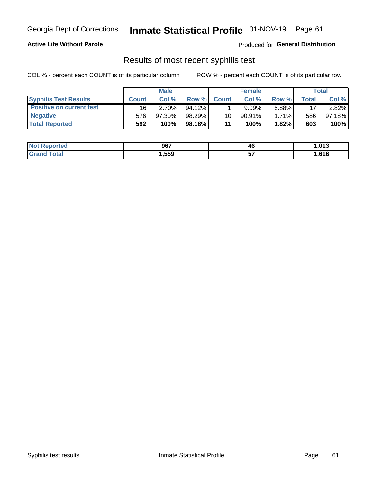## Georgia Dept of Corrections **Inmate Statistical Profile** 01-NOV-19 Page 61

#### **Active Life Without Parole**

Produced for **General Distribution**

### Results of most recent syphilis test

COL % - percent each COUNT is of its particular column ROW % - percent each COUNT is of its particular row

|                                 |              | <b>Male</b> |           |              | <b>Female</b> |          |       | Total  |
|---------------------------------|--------------|-------------|-----------|--------------|---------------|----------|-------|--------|
| <b>Syphilis Test Results</b>    | <b>Count</b> | Col%        | Row %     | <b>Count</b> | Col %         | Row %I   | Total | Col %  |
| <b>Positive on current test</b> | 16           | $2.70\%$    | $94.12\%$ |              | 9.09%         | 5.88%    | 17    | 2.82%  |
| <b>Negative</b>                 | 576          | $97.30\%$   | 98.29%    | 10           | $90.91\%$     | $1.71\%$ | 586   | 97.18% |
| <b>Total Reported</b>           | 592          | 100%        | 98.18% I  | 11           | 100%          | 1.82%    | 603   | 100%   |

| <b>Not Reported</b>     | 967  | 46       | 013. ا |
|-------------------------|------|----------|--------|
| <b>Total</b><br>' Grand | ,559 | --<br>J. | .,616  |